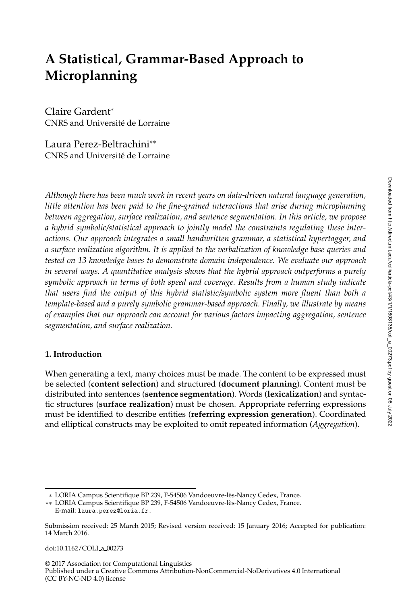# **A Statistical, Grammar-Based Approach to Microplanning**

Claire Gardent<sup>∗</sup> CNRS and Université de Lorraine

Laura Perez-Beltrachini∗∗ CNRS and Université de Lorraine

*Although there has been much work in recent years on data-driven natural language generation, little attention has been paid to the fine-grained interactions that arise during microplanning between aggregation, surface realization, and sentence segmentation. In this article, we propose a hybrid symbolic/statistical approach to jointly model the constraints regulating these interactions. Our approach integrates a small handwritten grammar, a statistical hypertagger, and a surface realization algorithm. It is applied to the verbalization of knowledge base queries and tested on 13 knowledge bases to demonstrate domain independence. We evaluate our approach in several ways. A quantitative analysis shows that the hybrid approach outperforms a purely symbolic approach in terms of both speed and coverage. Results from a human study indicate that users find the output of this hybrid statistic/symbolic system more fluent than both a template-based and a purely symbolic grammar-based approach. Finally, we illustrate by means of examples that our approach can account for various factors impacting aggregation, sentence segmentation, and surface realization.*

### **1. Introduction**

When generating a text, many choices must be made. The content to be expressed must be selected (**content selection**) and structured (**document planning**). Content must be distributed into sentences (**sentence segmentation**). Words (**lexicalization**) and syntactic structures (**surface realization**) must be chosen. Appropriate referring expressions must be identified to describe entities (**referring expression generation**). Coordinated and elliptical constructs may be exploited to omit repeated information (*Aggregation*).

doi:10.1162/COLI a 00273

<sup>∗</sup> LORIA Campus Scientifique BP 239, F-54506 Vandoeuvre-l`es-Nancy Cedex, France.

<sup>∗∗</sup> LORIA Campus Scientifique BP 239, F-54506 Vandoeuvre-l`es-Nancy Cedex, France. E-mail: laura.perez@loria.fr.

Submission received: 25 March 2015; Revised version received: 15 January 2016; Accepted for publication: 14 March 2016.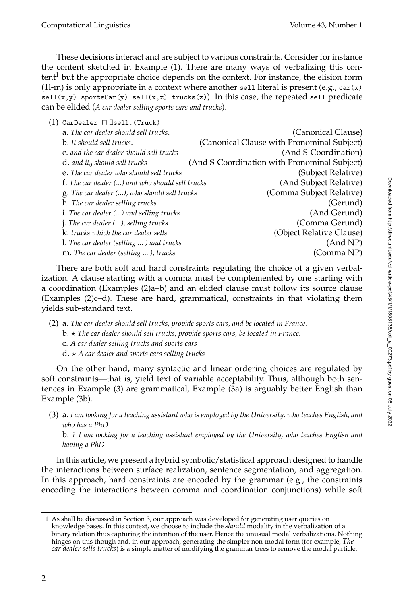These decisions interact and are subject to various constraints. Consider for instance the content sketched in Example (1). There are many ways of verbalizing this con $t$ ent<sup>1</sup> but the appropriate choice depends on the context. For instance, the elision form (1l-m) is only appropriate in a context where another sell literal is present (e.g.,  $\text{car}(x)$ ) sell(x,y) sportsCar(y) sell(x,z) trucks(z)). In this case, the repeated sell predicate can be elided (*A car dealer selling sports cars and trucks*).

| CarDealer $\sqcap \exists$ sell. (Truck)                                                    | (1) |
|---------------------------------------------------------------------------------------------|-----|
| a. The car dealer should sell trucks.<br>(Canonical Clause)                                 |     |
| (Canonical Clause with Pronominal Subject)<br>b. It should sell trucks.                     |     |
| (And S-Coordination)<br>c. and the car dealer should sell trucks                            |     |
| (And S-Coordination with Pronominal Subject)<br>$d.$ and it <sub>0</sub> should sell trucks |     |
| e. The car dealer who should sell trucks<br>(Subject Relative)                              |     |
| (And Subject Relative)<br>f. The car dealer $()$ and who should sell trucks                 |     |
| (Comma Subject Relative)<br>g. The car dealer (), who should sell trucks                    |     |
| (Gerund)<br>h. The car dealer selling trucks                                                |     |
| (And Gerund)<br>i. The car dealer () and selling trucks                                     |     |
| (Comma Gerund)<br>$i$ . The car dealer $()$ , selling trucks                                |     |
| k, trucks which the car dealer sells<br>(Object Relative Clause)                            |     |
| (And NP)<br>1. The car dealer (selling ) and trucks                                         |     |
| (Comma NP)<br>m. The car dealer (selling ), trucks                                          |     |

There are both soft and hard constraints regulating the choice of a given verbalization. A clause starting with a comma must be complemented by one starting with a coordination (Examples (2)a–b) and an elided clause must follow its source clause (Examples (2)c–d). These are hard, grammatical, constraints in that violating them yields sub-standard text.

(2) a. *The car dealer should sell trucks, provide sports cars, and be located in France.* b. ⋆ *The car dealer should sell trucks, provide sports cars, be located in France.* c. *A car dealer selling trucks and sports cars* d. ⋆ *A car dealer and sports cars selling trucks*

On the other hand, many syntactic and linear ordering choices are regulated by soft constraints—that is, yield text of variable acceptability. Thus, although both sentences in Example (3) are grammatical, Example (3a) is arguably better English than Example (3b).

(3) a. *I am looking for a teaching assistant who is employed by the University, who teaches English, and who has a PhD* b. *? I am looking for a teaching assistant employed by the University, who teaches English and having a PhD*

In this article, we present a hybrid symbolic/statistical approach designed to handle the interactions between surface realization, sentence segmentation, and aggregation. In this approach, hard constraints are encoded by the grammar (e.g., the constraints encoding the interactions beween comma and coordination conjunctions) while soft

<sup>1</sup> As shall be discussed in Section 3, our approach was developed for generating user queries on knowledge bases. In this context, we choose to include the *should* modality in the verbalization of a binary relation thus capturing the intention of the user. Hence the unusual modal verbalizations. Nothing hinges on this though and, in our approach, generating the simpler non-modal form (for example, *The car dealer sells trucks*) is a simple matter of modifying the grammar trees to remove the modal particle.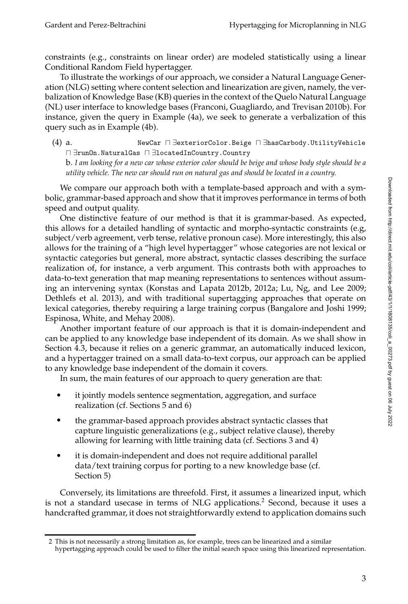constraints (e.g., constraints on linear order) are modeled statistically using a linear Conditional Random Field hypertagger.

To illustrate the workings of our approach, we consider a Natural Language Generation (NLG) setting where content selection and linearization are given, namely, the verbalization of Knowledge Base (KB) queries in the context of the Quelo Natural Language (NL) user interface to knowledge bases (Franconi, Guagliardo, and Trevisan 2010b). For instance, given the query in Example (4a), we seek to generate a verbalization of this query such as in Example (4b).

(4) a. NewCar ⊓ ∃exteriorColor.Beige ⊓ ∃hasCarbody.UtilityVehicle ⊓ ∃runOn.NaturalGas ⊓ ∃locatedInCountry.Country

b. *I am looking for a new car whose exterior color should be beige and whose body style should be a utility vehicle. The new car should run on natural gas and should be located in a country.*

We compare our approach both with a template-based approach and with a symbolic, grammar-based approach and show that it improves performance in terms of both speed and output quality.

One distinctive feature of our method is that it is grammar-based. As expected, this allows for a detailed handling of syntactic and morpho-syntactic constraints (e.g, subject/verb agreement, verb tense, relative pronoun case). More interestingly, this also allows for the training of a "high level hypertagger" whose categories are not lexical or syntactic categories but general, more abstract, syntactic classes describing the surface realization of, for instance, a verb argument. This contrasts both with approaches to data-to-text generation that map meaning representations to sentences without assuming an intervening syntax (Konstas and Lapata 2012b, 2012a; Lu, Ng, and Lee 2009; Dethlefs et al. 2013), and with traditional supertagging approaches that operate on lexical categories, thereby requiring a large training corpus (Bangalore and Joshi 1999; Espinosa, White, and Mehay 2008).

Another important feature of our approach is that it is domain-independent and can be applied to any knowledge base independent of its domain. As we shall show in Section 4.3, because it relies on a generic grammar, an automatically induced lexicon, and a hypertagger trained on a small data-to-text corpus, our approach can be applied to any knowledge base independent of the domain it covers.

In sum, the main features of our approach to query generation are that:

- r it jointly models sentence segmentation, aggregation, and surface realization (cf. Sections 5 and 6)
- $\bullet$ the grammar-based approach provides abstract syntactic classes that capture linguistic generalizations (e.g., subject relative clause), thereby allowing for learning with little training data (cf. Sections 3 and 4)
- $\bullet$ it is domain-independent and does not require additional parallel data/text training corpus for porting to a new knowledge base (cf. Section 5)

Conversely, its limitations are threefold. First, it assumes a linearized input, which is not a standard usecase in terms of NLG applications.<sup>2</sup> Second, because it uses a handcrafted grammar, it does not straightforwardly extend to application domains such

<sup>2</sup> This is not necessarily a strong limitation as, for example, trees can be linearized and a similar

hypertagging approach could be used to filter the initial search space using this linearized representation.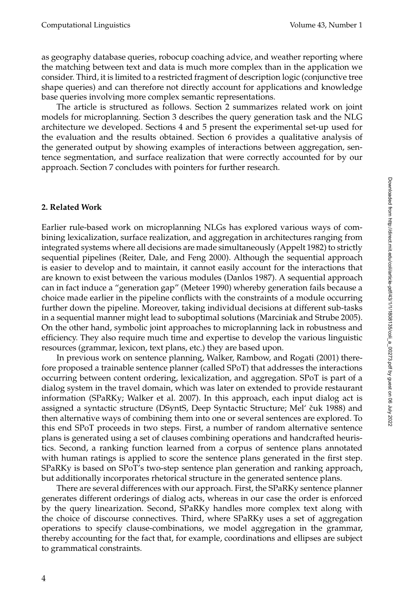as geography database queries, robocup coaching advice, and weather reporting where the matching between text and data is much more complex than in the application we consider. Third, it is limited to a restricted fragment of description logic (conjunctive tree shape queries) and can therefore not directly account for applications and knowledge base queries involving more complex semantic representations.

The article is structured as follows. Section 2 summarizes related work on joint models for microplanning. Section 3 describes the query generation task and the NLG architecture we developed. Sections 4 and 5 present the experimental set-up used for the evaluation and the results obtained. Section 6 provides a qualitative analysis of the generated output by showing examples of interactions between aggregation, sentence segmentation, and surface realization that were correctly accounted for by our approach. Section 7 concludes with pointers for further research.

### **2. Related Work**

Earlier rule-based work on microplanning NLGs has explored various ways of combining lexicalization, surface realization, and aggregation in architectures ranging from integrated systems where all decisions are made simultaneously (Appelt 1982) to strictly sequential pipelines (Reiter, Dale, and Feng 2000). Although the sequential approach is easier to develop and to maintain, it cannot easily account for the interactions that are known to exist between the various modules (Danlos 1987). A sequential approach can in fact induce a "generation gap" (Meteer 1990) whereby generation fails because a choice made earlier in the pipeline conflicts with the constraints of a module occurring further down the pipeline. Moreover, taking individual decisions at different sub-tasks in a sequential manner might lead to suboptimal solutions (Marciniak and Strube 2005). On the other hand, symbolic joint approaches to microplanning lack in robustness and efficiency. They also require much time and expertise to develop the various linguistic resources (grammar, lexicon, text plans, etc.) they are based upon.

In previous work on sentence planning, Walker, Rambow, and Rogati (2001) therefore proposed a trainable sentence planner (called SPoT) that addresses the interactions occurring between content ordering, lexicalization, and aggregation. SPoT is part of a dialog system in the travel domain, which was later on extended to provide restaurant information (SPaRKy; Walker et al. 2007). In this approach, each input dialog act is assigned a syntactic structure (DSyntS, Deep Syntactic Structure; Mel' ˇcuk 1988) and then alternative ways of combining them into one or several sentences are explored. To this end SPoT proceeds in two steps. First, a number of random alternative sentence plans is generated using a set of clauses combining operations and handcrafted heuristics. Second, a ranking function learned from a corpus of sentence plans annotated with human ratings is applied to score the sentence plans generated in the first step. SPaRKy is based on SPoT's two-step sentence plan generation and ranking approach, but additionally incorporates rhetorical structure in the generated sentence plans.

There are several differences with our approach. First, the SPaRKy sentence planner generates different orderings of dialog acts, whereas in our case the order is enforced by the query linearization. Second, SPaRKy handles more complex text along with the choice of discourse connectives. Third, where SPaRKy uses a set of aggregation operations to specify clause-combinations, we model aggregation in the grammar, thereby accounting for the fact that, for example, coordinations and ellipses are subject to grammatical constraints.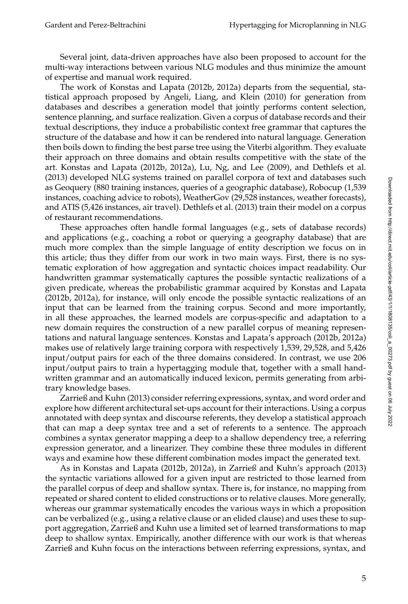Several joint, data-driven approaches have also been proposed to account for the multi-way interactions between various NLG modules and thus minimize the amount of expertise and manual work required.

The work of Konstas and Lapata (2012b, 2012a) departs from the sequential, statistical approach proposed by Angeli, Liang, and Klein (2010) for generation from databases and describes a generation model that jointly performs content selection, sentence planning, and surface realization. Given a corpus of database records and their textual descriptions, they induce a probabilistic context free grammar that captures the structure of the database and how it can be rendered into natural language. Generation then boils down to finding the best parse tree using the Viterbi algorithm. They evaluate their approach on three domains and obtain results competitive with the state of the art. Konstas and Lapata (2012b, 2012a), Lu, Ng, and Lee (2009), and Dethlefs et al. (2013) developed NLG systems trained on parallel corpora of text and databases such as Geoquery (880 training instances, queries of a geographic database), Robocup (1,539 instances, coaching advice to robots), WeatherGov (29,528 instances, weather forecasts), and ATIS (5,426 instances, air travel). Dethlefs et al. (2013) train their model on a corpus of restaurant recommendations.

These approaches often handle formal languages (e.g., sets of database records) and applications (e.g., coaching a robot or querying a geography database) that are much more complex than the simple language of entity description we focus on in this article; thus they differ from our work in two main ways. First, there is no systematic exploration of how aggregation and syntactic choices impact readability. Our handwritten grammar systematically captures the possible syntactic realizations of a given predicate, whereas the probabilistic grammar acquired by Konstas and Lapata (2012b, 2012a), for instance, will only encode the possible syntactic realizations of an input that can be learned from the training corpus. Second and more importantly, in all these approaches, the learned models are corpus-specific and adaptation to a new domain requires the construction of a new parallel corpus of meaning representations and natural language sentences. Konstas and Lapata's approach (2012b, 2012a) makes use of relatively large training corpora with respectively 1,539, 29,528, and 5,426 input/output pairs for each of the three domains considered. In contrast, we use 206 input/output pairs to train a hypertagging module that, together with a small handwritten grammar and an automatically induced lexicon, permits generating from arbitrary knowledge bases.

Zarrieß and Kuhn (2013) consider referring expressions, syntax, and word order and explore how different architectural set-ups account for their interactions. Using a corpus annotated with deep syntax and discourse referents, they develop a statistical approach that can map a deep syntax tree and a set of referents to a sentence. The approach combines a syntax generator mapping a deep to a shallow dependency tree, a referring expression generator, and a linearizer. They combine these three modules in different ways and examine how these different combination modes impact the generated text.

As in Konstas and Lapata (2012b, 2012a), in Zarrieß and Kuhn's approach (2013) the syntactic variations allowed for a given input are restricted to those learned from the parallel corpus of deep and shallow syntax. There is, for instance, no mapping from repeated or shared content to elided constructions or to relative clauses. More generally, whereas our grammar systematically encodes the various ways in which a proposition can be verbalized (e.g., using a relative clause or an elided clause) and uses these to support aggregation, Zarrieß and Kuhn use a limited set of learned transformations to map deep to shallow syntax. Empirically, another difference with our work is that whereas Zarrieß and Kuhn focus on the interactions between referring expressions, syntax, and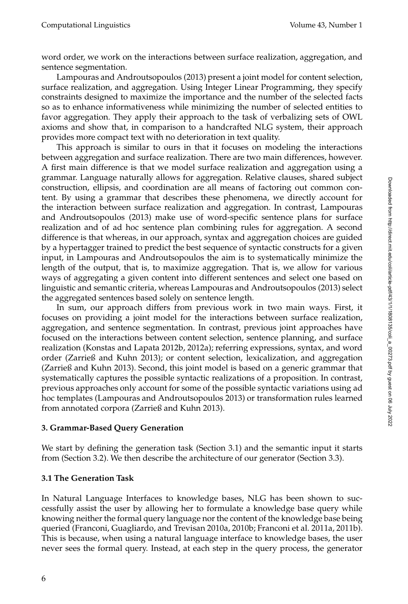word order, we work on the interactions between surface realization, aggregation, and sentence segmentation.

Lampouras and Androutsopoulos (2013) present a joint model for content selection, surface realization, and aggregation. Using Integer Linear Programming, they specify constraints designed to maximize the importance and the number of the selected facts so as to enhance informativeness while minimizing the number of selected entities to favor aggregation. They apply their approach to the task of verbalizing sets of OWL axioms and show that, in comparison to a handcrafted NLG system, their approach provides more compact text with no deterioration in text quality.

This approach is similar to ours in that it focuses on modeling the interactions between aggregation and surface realization. There are two main differences, however. A first main difference is that we model surface realization and aggregation using a grammar. Language naturally allows for aggregation. Relative clauses, shared subject construction, ellipsis, and coordination are all means of factoring out common content. By using a grammar that describes these phenomena, we directly account for the interaction between surface realization and aggregation. In contrast, Lampouras and Androutsopoulos (2013) make use of word-specific sentence plans for surface realization and of ad hoc sentence plan combining rules for aggregation. A second difference is that whereas, in our approach, syntax and aggregation choices are guided by a hypertagger trained to predict the best sequence of syntactic constructs for a given input, in Lampouras and Androutsopoulos the aim is to systematically minimize the length of the output, that is, to maximize aggregation. That is, we allow for various ways of aggregating a given content into different sentences and select one based on linguistic and semantic criteria, whereas Lampouras and Androutsopoulos (2013) select the aggregated sentences based solely on sentence length.

In sum, our approach differs from previous work in two main ways. First, it focuses on providing a joint model for the interactions between surface realization, aggregation, and sentence segmentation. In contrast, previous joint approaches have focused on the interactions between content selection, sentence planning, and surface realization (Konstas and Lapata 2012b, 2012a); referring expressions, syntax, and word order (Zarrieß and Kuhn 2013); or content selection, lexicalization, and aggregation (Zarrieß and Kuhn 2013). Second, this joint model is based on a generic grammar that systematically captures the possible syntactic realizations of a proposition. In contrast, previous approaches only account for some of the possible syntactic variations using ad hoc templates (Lampouras and Androutsopoulos 2013) or transformation rules learned from annotated corpora (Zarrieß and Kuhn 2013).

## **3. Grammar-Based Query Generation**

We start by defining the generation task (Section 3.1) and the semantic input it starts from (Section 3.2). We then describe the architecture of our generator (Section 3.3).

## **3.1 The Generation Task**

In Natural Language Interfaces to knowledge bases, NLG has been shown to successfully assist the user by allowing her to formulate a knowledge base query while knowing neither the formal query language nor the content of the knowledge base being queried (Franconi, Guagliardo, and Trevisan 2010a, 2010b; Franconi et al. 2011a, 2011b). This is because, when using a natural language interface to knowledge bases, the user never sees the formal query. Instead, at each step in the query process, the generator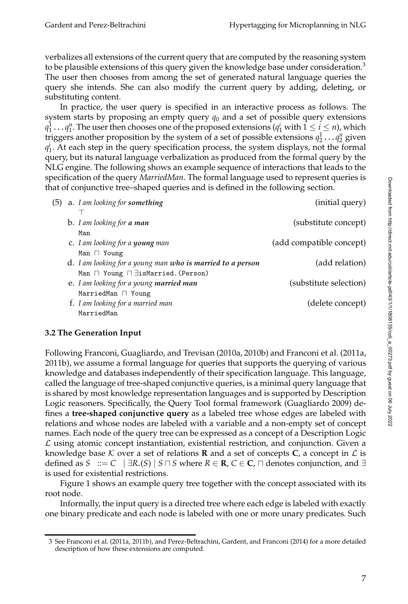verbalizes all extensions of the current query that are computed by the reasoning system to be plausible extensions of this query given the knowledge base under consideration.<sup>3</sup> The user then chooses from among the set of generated natural language queries the query she intends. She can also modify the current query by adding, deleting, or substituting content.

In practice, the user query is specified in an interactive process as follows. The system starts by proposing an empty query  $q_0$  and a set of possible query extensions  $q_1^1 \ldots q_1^n$ . The user then chooses one of the proposed extensions  $(q_1^i$  with  $1 \leq i \leq n$ ), which triggers another proposition by the system of a set of possible extensions  $q_2^1 \ldots q_2^n$  given  $q_1^i$ . At each step in the query specification process, the system displays, not the formal query, but its natural language verbalization as produced from the formal query by the NLG engine. The following shows an example sequence of interactions that leads to the specification of the query *MarriedMan*. The formal language used to represent queries is that of conjunctive tree–shaped queries and is defined in the following section.

| (initial query)          | a. I am looking for something                              | (5) |
|--------------------------|------------------------------------------------------------|-----|
|                          |                                                            |     |
| (substitute concept)     | b. I am looking for <b>a man</b>                           |     |
|                          | Man                                                        |     |
| (add compatible concept) | c. I am looking for a <b>young</b> man                     |     |
|                          | Man $\Box$ Young                                           |     |
| (add relation)           | d. I am looking for a young man who is married to a person |     |
|                          | Man $\sqcap$ Young $\sqcap \exists$ isMarried. (Person)    |     |
| (substitute selection)   | e. I am looking for a young married man                    |     |
|                          | MarriedMan ∩ Young                                         |     |
| (delete concept)         | f. I am looking for a married man                          |     |
|                          | MarriedMan                                                 |     |

## **3.2 The Generation Input**

Following Franconi, Guagliardo, and Trevisan (2010a, 2010b) and Franconi et al. (2011a, 2011b), we assume a formal language for queries that supports the querying of various knowledge and databases independently of their specification language. This language, called the language of tree-shaped conjunctive queries, is a minimal query language that is shared by most knowledge representation languages and is supported by Description Logic reasoners. Specifically, the Query Tool formal framework (Guagliardo 2009) defines a **tree-shaped conjunctive query** as a labeled tree whose edges are labeled with relations and whose nodes are labeled with a variable and a non-empty set of concept names. Each node of the query tree can be expressed as a concept of a Description Logic  $\mathcal L$  using atomic concept instantiation, existential restriction, and conjunction. Given a knowledge base  $K$  over a set of relations **R** and a set of concepts **C**, a concept in  $\mathcal{L}$  is defined as *S* ::= *C* | ∃*R*.(*S*) | *S*  $\sqcap$  *S* where *R* ∈ **R**, *C* ∈ **C**,  $\sqcap$  denotes conjunction, and ∃ is used for existential restrictions.

Figure 1 shows an example query tree together with the concept associated with its root node.

Informally, the input query is a directed tree where each edge is labeled with exactly one binary predicate and each node is labeled with one or more unary predicates. Such

<sup>3</sup> See Franconi et al. (2011a, 2011b), and Perez-Beltrachini, Gardent, and Franconi (2014) for a more detailed description of how these extensions are computed.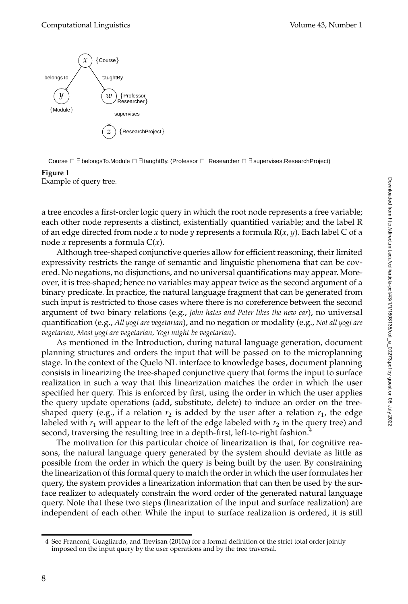#### Computational Linguistics Volume 43, Number 1



Course ⊓ ∃ belongsTo.Module ⊓ ∃ taughtBy. (Professor ⊓ Researcher ⊓ ∃ supervises.ResearchProject)

#### **Figure 1**

Example of query tree.

a tree encodes a first-order logic query in which the root node represents a free variable; each other node represents a distinct, existentially quantified variable; and the label R of an edge directed from node *x* to node *y* represents a formula R(*x*, *y*). Each label C of a node *x* represents a formula C(*x*).

Although tree-shaped conjunctive queries allow for efficient reasoning, their limited expressivity restricts the range of semantic and linguistic phenomena that can be covered. No negations, no disjunctions, and no universal quantifications may appear. Moreover, it is tree-shaped; hence no variables may appear twice as the second argument of a binary predicate. In practice, the natural language fragment that can be generated from such input is restricted to those cases where there is no coreference between the second argument of two binary relations (e.g., *John hates and Peter likes the new car*), no universal quantification (e.g., *All yogi are vegetarian*), and no negation or modality (e.g., *Not all yogi are vegetarian, Most yogi are vegetarian, Yogi might be vegetarian*).

As mentioned in the Introduction, during natural language generation, document planning structures and orders the input that will be passed on to the microplanning stage. In the context of the Quelo NL interface to knowledge bases, document planning consists in linearizing the tree-shaped conjunctive query that forms the input to surface realization in such a way that this linearization matches the order in which the user specified her query. This is enforced by first, using the order in which the user applies the query update operations (add, substitute, delete) to induce an order on the treeshaped query (e.g., if a relation  $r_2$  is added by the user after a relation  $r_1$ , the edge labeled with  $r_1$  will appear to the left of the edge labeled with  $r_2$  in the query tree) and second, traversing the resulting tree in a depth-first, left-to-right fashion.<sup>4</sup>

The motivation for this particular choice of linearization is that, for cognitive reasons, the natural language query generated by the system should deviate as little as possible from the order in which the query is being built by the user. By constraining the linearization of this formal query to match the order in which the user formulates her query, the system provides a linearization information that can then be used by the surface realizer to adequately constrain the word order of the generated natural language query. Note that these two steps (linearization of the input and surface realization) are independent of each other. While the input to surface realization is ordered, it is still

<sup>4</sup> See Franconi, Guagliardo, and Trevisan (2010a) for a formal definition of the strict total order jointly imposed on the input query by the user operations and by the tree traversal.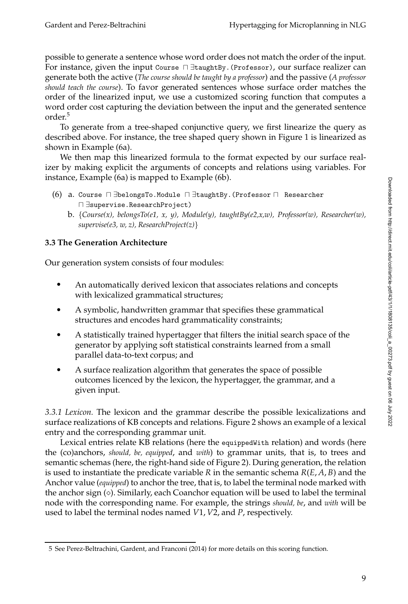possible to generate a sentence whose word order does not match the order of the input. For instance, given the input Course ⊓ ∃taughtBy.(Professor), our surface realizer can generate both the active (*The course should be taught by a professor*) and the passive (*A professor should teach the course*). To favor generated sentences whose surface order matches the order of the linearized input, we use a customized scoring function that computes a word order cost capturing the deviation between the input and the generated sentence order.<sup>5</sup>

To generate from a tree-shaped conjunctive query, we first linearize the query as described above. For instance, the tree shaped query shown in Figure 1 is linearized as shown in Example (6a).

We then map this linearized formula to the format expected by our surface realizer by making explicit the arguments of concepts and relations using variables. For instance, Example (6a) is mapped to Example (6b).

- (6) a. Course ⊓ ∃belongsTo.Module ⊓ ∃taughtBy.(Professor ⊓ Researcher ⊓ ∃supervise.ResearchProject)
	- b. {*Course(x), belongsTo(e1, x, y), Module(y), taughtBy(e2,x,w), Professor(w), Researcher(w), supervise(e3, w, z), ResearchProject(z)*}

# **3.3 The Generation Architecture**

Our generation system consists of four modules:

- An automatically derived lexicon that associates relations and concepts with lexicalized grammatical structures;
- A symbolic, handwritten grammar that specifies these grammatical structures and encodes hard grammaticality constraints;
- A statistically trained hypertagger that filters the initial search space of the generator by applying soft statistical constraints learned from a small parallel data-to-text corpus; and
- A surface realization algorithm that generates the space of possible outcomes licenced by the lexicon, the hypertagger, the grammar, and a given input.

*3.3.1 Lexicon.* The lexicon and the grammar describe the possible lexicalizations and surface realizations of KB concepts and relations. Figure 2 shows an example of a lexical entry and the corresponding grammar unit.

Lexical entries relate KB relations (here the equippedWith relation) and words (here the (co)anchors, *should, be, equipped*, and *with*) to grammar units, that is, to trees and semantic schemas (here, the right-hand side of Figure 2). During generation, the relation is used to instantiate the predicate variable *R* in the semantic schema *R*(*E*, *A*, *B*) and the Anchor value (*equipped*) to anchor the tree, that is, to label the terminal node marked with the anchor sign  $(\diamond)$ . Similarly, each Coanchor equation will be used to label the terminal node with the corresponding name. For example, the strings *should, be*, and *with* will be used to label the terminal nodes named *V*1, *V*2, and *P*, respectively.

<sup>5</sup> See Perez-Beltrachini, Gardent, and Franconi (2014) for more details on this scoring function.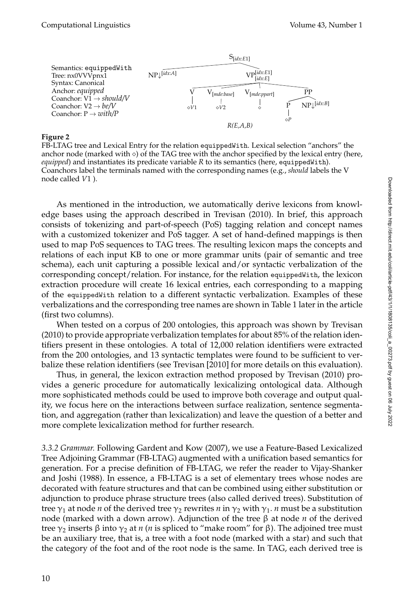

#### **Figure 2**

FB-LTAG tree and Lexical Entry for the relation equippedWith. Lexical selection "anchors" the anchor node (marked with  $\diamond$ ) of the TAG tree with the anchor specified by the lexical entry (here, *equipped*) and instantiates its predicate variable *R* to its semantics (here, equippedWith). Coanchors label the terminals named with the corresponding names (e.g., *should* labels the V node called *V*1 ).

As mentioned in the introduction, we automatically derive lexicons from knowledge bases using the approach described in Trevisan (2010). In brief, this approach consists of tokenizing and part-of-speech (PoS) tagging relation and concept names with a customized tokenizer and PoS tagger. A set of hand-defined mappings is then used to map PoS sequences to TAG trees. The resulting lexicon maps the concepts and relations of each input KB to one or more grammar units (pair of semantic and tree schema), each unit capturing a possible lexical and/or syntactic verbalization of the corresponding concept/relation. For instance, for the relation equippedWith, the lexicon extraction procedure will create 16 lexical entries, each corresponding to a mapping of the equippedWith relation to a different syntactic verbalization. Examples of these verbalizations and the corresponding tree names are shown in Table 1 later in the article (first two columns).

When tested on a corpus of 200 ontologies, this approach was shown by Trevisan (2010) to provide appropriate verbalization templates for about 85% of the relation identifiers present in these ontologies. A total of 12,000 relation identifiers were extracted from the 200 ontologies, and 13 syntactic templates were found to be sufficient to verbalize these relation identifiers (see Trevisan [2010] for more details on this evaluation).

Thus, in general, the lexicon extraction method proposed by Trevisan (2010) provides a generic procedure for automatically lexicalizing ontological data. Although more sophisticated methods could be used to improve both coverage and output quality, we focus here on the interactions between surface realization, sentence segmentation, and aggregation (rather than lexicalization) and leave the question of a better and more complete lexicalization method for further research.

*3.3.2 Grammar.* Following Gardent and Kow (2007), we use a Feature-Based Lexicalized Tree Adjoining Grammar (FB-LTAG) augmented with a unification based semantics for generation. For a precise definition of FB-LTAG, we refer the reader to Vijay-Shanker and Joshi (1988). In essence, a FB-LTAG is a set of elementary trees whose nodes are decorated with feature structures and that can be combined using either substitution or adjunction to produce phrase structure trees (also called derived trees). Substitution of tree  $\gamma_1$  at node *n* of the derived tree  $\gamma_2$  rewrites *n* in  $\gamma_2$  with  $\gamma_1$ . *n* must be a substitution node (marked with a down arrow). Adjunction of the tree β at node *n* of the derived tree  $γ$ <sub>2</sub> inserts β into  $γ$ <sub>2</sub> at *n* (*n* is spliced to "make room" for β). The adjoined tree must be an auxiliary tree, that is, a tree with a foot node (marked with a star) and such that the category of the foot and of the root node is the same. In TAG, each derived tree is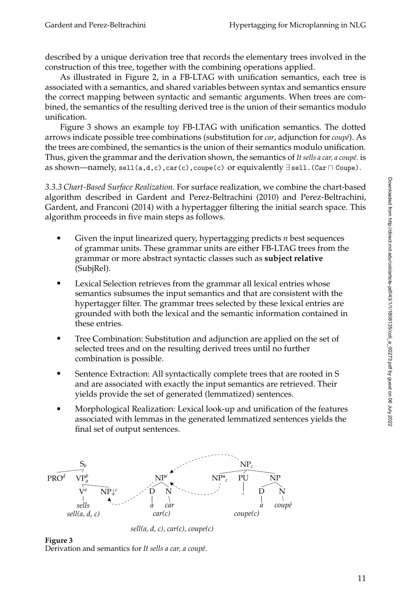described by a unique derivation tree that records the elementary trees involved in the construction of this tree, together with the combining operations applied.

As illustrated in Figure 2, in a FB-LTAG with unification semantics, each tree is associated with a semantics, and shared variables between syntax and semantics ensure the correct mapping between syntactic and semantic arguments. When trees are combined, the semantics of the resulting derived tree is the union of their semantics modulo unification.

Figure 3 shows an example toy FB-LTAG with unification semantics. The dotted arrows indicate possible tree combinations (substitution for *car*, adjunction for *coupé*). As the trees are combined, the semantics is the union of their semantics modulo unification. Thus, given the grammar and the derivation shown, the semantics of *It sells a car, a coupé*. is as shown—namely,  $self(a,d,c)$ , car(c), coupe(c) or equivalently  $\exists$  sell.(Car  $\sqcap$  Coupe).

*3.3.3 Chart-Based Surface Realization.* For surface realization, we combine the chart-based algorithm described in Gardent and Perez-Beltrachini (2010) and Perez-Beltrachini, Gardent, and Franconi (2014) with a hypertagger filtering the initial search space. This algorithm proceeds in five main steps as follows.

- Given the input linearized query, hypertagging predicts *n* best sequences of grammar units. These grammar units are either FB-LTAG trees from the grammar or more abstract syntactic classes such as **subject relative** (SubjRel).
- Lexical Selection retrieves from the grammar all lexical entries whose semantics subsumes the input semantics and that are consistent with the hypertagger filter. The grammar trees selected by these lexical entries are grounded with both the lexical and the semantic information contained in these entries.
- Tree Combination: Substitution and adjunction are applied on the set of selected trees and on the resulting derived trees until no further combination is possible.
- Sentence Extraction: All syntactically complete trees that are rooted in S and are associated with exactly the input semantics are retrieved. Their yields provide the set of generated (lemmatized) sentences.
- Morphological Realization: Lexical look-up and unification of the features associated with lemmas in the generated lemmatized sentences yields the final set of output sentences.



*sell(a, d, c), car(c), coupe(c)*

**Figure 3**

Derivation and semantics for *It sells a car, a coupé*.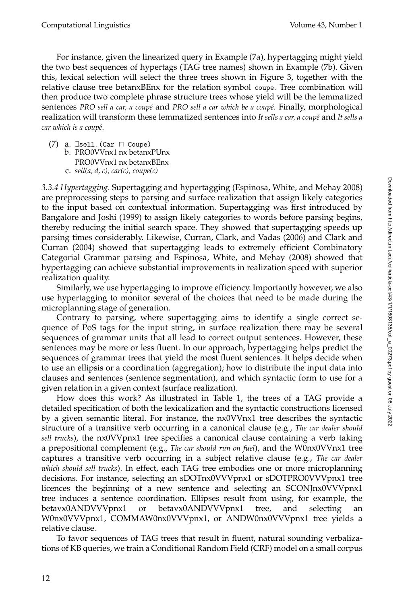For instance, given the linearized query in Example (7a), hypertagging might yield the two best sequences of hypertags (TAG tree names) shown in Example (7b). Given this, lexical selection will select the three trees shown in Figure 3, together with the relative clause tree betanxBEnx for the relation symbol coupe. Tree combination will then produce two complete phrase structure trees whose yield will be the lemmatized sentences *PRO sell a car, a coupé* and *PRO sell a car which be a coupé*. Finally, morphological realization will transform these lemmatized sentences into *It sells a car, a coupé* and *It sells a car which is a coup´e*.

(7) a. ∃sell.(Car ⊓ Coupe) b. PRO0VVnx1 nx betanxPUnx PRO0VVnx1 nx betanxBEnx c. *sell(a, d, c), car(c), coupe(c)*

*3.3.4 Hypertagging.* Supertagging and hypertagging (Espinosa, White, and Mehay 2008) are preprocessing steps to parsing and surface realization that assign likely categories to the input based on contextual information. Supertagging was first introduced by Bangalore and Joshi (1999) to assign likely categories to words before parsing begins, thereby reducing the initial search space. They showed that supertagging speeds up parsing times considerably. Likewise, Curran, Clark, and Vadas (2006) and Clark and Curran (2004) showed that supertagging leads to extremely efficient Combinatory Categorial Grammar parsing and Espinosa, White, and Mehay (2008) showed that hypertagging can achieve substantial improvements in realization speed with superior realization quality.

Similarly, we use hypertagging to improve efficiency. Importantly however, we also use hypertagging to monitor several of the choices that need to be made during the microplanning stage of generation.

Contrary to parsing, where supertagging aims to identify a single correct sequence of PoS tags for the input string, in surface realization there may be several sequences of grammar units that all lead to correct output sentences. However, these sentences may be more or less fluent. In our approach, hypertagging helps predict the sequences of grammar trees that yield the most fluent sentences. It helps decide when to use an ellipsis or a coordination (aggregation); how to distribute the input data into clauses and sentences (sentence segmentation), and which syntactic form to use for a given relation in a given context (surface realization).

How does this work? As illustrated in Table 1, the trees of a TAG provide a detailed specification of both the lexicalization and the syntactic constructions licensed by a given semantic literal. For instance, the nx0VVnx1 tree describes the syntactic structure of a transitive verb occurring in a canonical clause (e.g., *The car dealer should sell trucks*), the nx0VVpnx1 tree specifies a canonical clause containing a verb taking a prepositional complement (e.g., *The car should run on fuel*), and the W0nx0VVnx1 tree captures a transitive verb occurring in a subject relative clause (e.g., *The car dealer which should sell trucks*). In effect, each TAG tree embodies one or more microplanning decisions. For instance, selecting an sDOTnx0VVVpnx1 or sDOTPRO0VVVpnx1 tree licences the beginning of a new sentence and selecting an SCONJnx0VVVpnx1 tree induces a sentence coordination. Ellipses result from using, for example, the betavx0ANDVVVpnx1 or betavx0ANDVVVpnx1 tree, and selecting an W0nx0VVVpnx1, COMMAW0nx0VVVpnx1, or ANDW0nx0VVVpnx1 tree yields a relative clause.

To favor sequences of TAG trees that result in fluent, natural sounding verbalizations of KB queries, we train a Conditional Random Field (CRF) model on a small corpus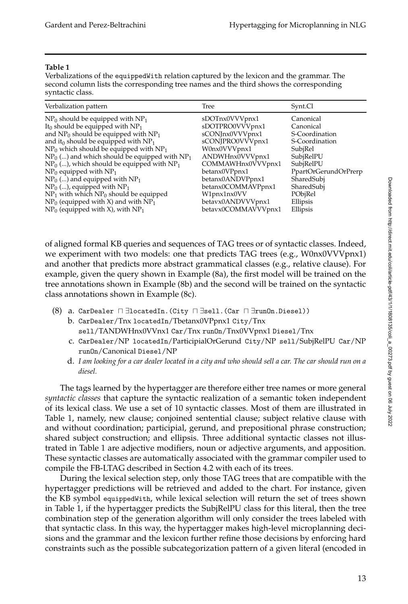#### **Table 1**

Verbalizations of the equippedWith relation captured by the lexicon and the grammar. The second column lists the corresponding tree names and the third shows the corresponding syntactic class.

| $NP_0$ should be equipped with $NP_1$<br>sDOTnx0VVVpnx1<br>It <sub>0</sub> should be equipped with $NP1$<br>sDOTPRO0VVVpnx1                                                                                                                                                                                                                                                                                                                                                                                                                                                                                                                                                                                              | Canonical<br>Canonical                                                                                                                                       |
|--------------------------------------------------------------------------------------------------------------------------------------------------------------------------------------------------------------------------------------------------------------------------------------------------------------------------------------------------------------------------------------------------------------------------------------------------------------------------------------------------------------------------------------------------------------------------------------------------------------------------------------------------------------------------------------------------------------------------|--------------------------------------------------------------------------------------------------------------------------------------------------------------|
| and $NP_0$ should be equipped with $NP_1$<br>sCONJnx0VVVpnx1<br>sCONJPRO0VVVpnx1<br>and it <sub>0</sub> should be equipped with $NP_1$<br>$NP_0$ which should be equipped with $NP_1$<br>W0nx0VVVpnx1<br>$NP_0$ () and which should be equipped with $NP_1$<br>ANDWHnx0VVVpnx1<br>$NP_0$ (), which should be equipped with $NP_1$<br>COMMAWHnx0VVVpnx1<br>$NP_0$ equipped with $NP_1$<br>betanx0VPpnx1<br>$NP_0$ () and equipped with $NP_1$<br>betanx0ANDVPpnx1<br>$NP_0$ (), equipped with $NP_1$<br>betanx0COMMAVPpnx1<br>$NP_1$ with which $NP_0$ should be equipped<br>W1pnx1nx0VV<br>$NP_0$ (equipped with X) and with $NP_1$<br>betavx0ANDVVVpnx1<br>$NP_0$ (equipped with X), with $NP_1$<br>betavx0COMMAVVVpnx1 | S-Coordination<br>S-Coordination<br>SubjRel<br>SubjRelPU<br>SubjRelPU<br>PpartOrGerundOrPrerp<br>SharedSubj<br>SharedSubj<br>PObjRel<br>Ellipsis<br>Ellipsis |

of aligned formal KB queries and sequences of TAG trees or of syntactic classes. Indeed, we experiment with two models: one that predicts TAG trees (e.g., W0nx0VVVpnx1) and another that predicts more abstract grammatical classes (e.g., relative clause). For example, given the query shown in Example (8a), the first model will be trained on the tree annotations shown in Example (8b) and the second will be trained on the syntactic class annotations shown in Example (8c).

- (8) a. CarDealer ⊓ ∃locatedIn.(City ⊓ ∃sell.(Car ⊓ ∃runOn.Diesel))
	- b. CarDealer/Tnx locatedIn/Tbetanx0VPpnx1 City/Tnx sell/TANDWHnx0VVnx1 Car/Tnx runOn/Tnx0VVpnx1 Diesel/Tnx
	- c. CarDealer/NP locatedIn/ParticipialOrGerund City/NP sell/SubjRelPU Car/NP runOn/Canonical Diesel/NP
	- d. *I am looking for a car dealer located in a city and who should sell a car. The car should run on a diesel.*

The tags learned by the hypertagger are therefore either tree names or more general *syntactic classes* that capture the syntactic realization of a semantic token independent of its lexical class. We use a set of 10 syntactic classes. Most of them are illustrated in Table 1, namely, new clause; conjoined sentential clause; subject relative clause with and without coordination; participial, gerund, and prepositional phrase construction; shared subject construction; and ellipsis. Three additional syntactic classes not illustrated in Table 1 are adjective modifiers, noun or adjective arguments, and apposition. These syntactic classes are automatically associated with the grammar compiler used to compile the FB-LTAG described in Section 4.2 with each of its trees.

During the lexical selection step, only those TAG trees that are compatible with the hypertagger predictions will be retrieved and added to the chart. For instance, given the KB symbol equippedWith, while lexical selection will return the set of trees shown in Table 1, if the hypertagger predicts the SubjRelPU class for this literal, then the tree combination step of the generation algorithm will only consider the trees labeled with that syntactic class. In this way, the hypertagger makes high-level microplanning decisions and the grammar and the lexicon further refine those decisions by enforcing hard constraints such as the possible subcategorization pattern of a given literal (encoded in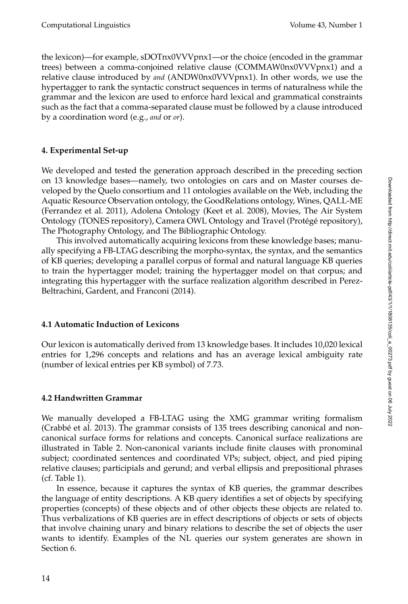the lexicon)—for example, sDOTnx0VVVpnx1—or the choice (encoded in the grammar trees) between a comma-conjoined relative clause (COMMAW0nx0VVVpnx1) and a relative clause introduced by *and* (ANDW0nx0VVVpnx1). In other words, we use the hypertagger to rank the syntactic construct sequences in terms of naturalness while the grammar and the lexicon are used to enforce hard lexical and grammatical constraints such as the fact that a comma-separated clause must be followed by a clause introduced by a coordination word (e.g., *and* or *or*).

# **4. Experimental Set-up**

We developed and tested the generation approach described in the preceding section on 13 knowledge bases—namely, two ontologies on cars and on Master courses developed by the Quelo consortium and 11 ontologies available on the Web, including the Aquatic Resource Observation ontology, the GoodRelations ontology, Wines, QALL-ME (Ferrandez et al. 2011), Adolena Ontology (Keet et al. 2008), Movies, The Air System Ontology (TONES repository), Camera OWL Ontology and Travel (Protégé repository), The Photography Ontology, and The Bibliographic Ontology.

This involved automatically acquiring lexicons from these knowledge bases; manually specifying a FB-LTAG describing the morpho-syntax, the syntax, and the semantics of KB queries; developing a parallel corpus of formal and natural language KB queries to train the hypertagger model; training the hypertagger model on that corpus; and integrating this hypertagger with the surface realization algorithm described in Perez-Beltrachini, Gardent, and Franconi (2014).

## **4.1 Automatic Induction of Lexicons**

Our lexicon is automatically derived from 13 knowledge bases. It includes 10,020 lexical entries for 1,296 concepts and relations and has an average lexical ambiguity rate (number of lexical entries per KB symbol) of 7.73.

# **4.2 Handwritten Grammar**

We manually developed a FB-LTAG using the XMG grammar writing formalism (Crabb´e et al. 2013). The grammar consists of 135 trees describing canonical and noncanonical surface forms for relations and concepts. Canonical surface realizations are illustrated in Table 2. Non-canonical variants include finite clauses with pronominal subject; coordinated sentences and coordinated VPs; subject, object, and pied piping relative clauses; participials and gerund; and verbal ellipsis and prepositional phrases (cf. Table 1).

In essence, because it captures the syntax of KB queries, the grammar describes the language of entity descriptions. A KB query identifies a set of objects by specifying properties (concepts) of these objects and of other objects these objects are related to. Thus verbalizations of KB queries are in effect descriptions of objects or sets of objects that involve chaining unary and binary relations to describe the set of objects the user wants to identify. Examples of the NL queries our system generates are shown in Section 6.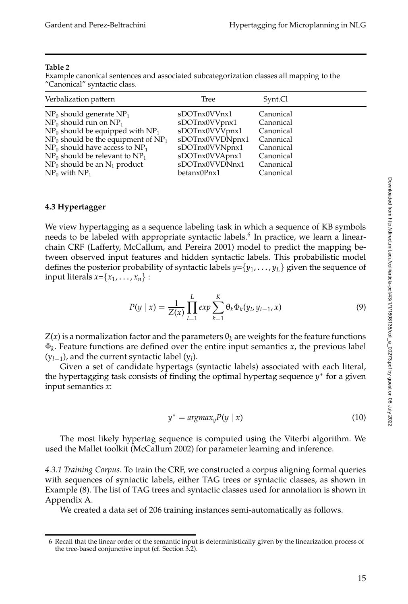#### **Table 2**

Example canonical sentences and associated subcategorization classes all mapping to the "Canonical" syntactic class.

| Verbalization pattern                    | Tree            | Synt.Cl   |
|------------------------------------------|-----------------|-----------|
| $NP_0$ should generate $NP_1$            | sDOTnx0VVnx1    | Canonical |
| $NP_0$ should run on $NP_1$              | sDOTnx0VVpnx1   | Canonical |
| $NP_0$ should be equipped with $NP_1$    | sDOTnx0VVVpnx1  | Canonical |
| $NP_0$ should be the equipment of $NP_1$ | sDOTnx0VVDNpnx1 | Canonical |
| $NP_0$ should have access to $NP_1$      | sDOTnx0VVNpnx1  | Canonical |
| $NP_0$ should be relevant to $NP_1$      | sDOTnx0VVApnx1  | Canonical |
| $NP_0$ should be an $N_1$ product        | sDOTnx0VVDNnx1  | Canonical |
| $NP_0$ with $NP_1$                       | betanx0Pnx1     | Canonical |

### **4.3 Hypertagger**

We view hypertagging as a sequence labeling task in which a sequence of KB symbols needs to be labeled with appropriate syntactic labels.<sup>6</sup> In practice, we learn a linearchain CRF (Lafferty, McCallum, and Pereira 2001) model to predict the mapping between observed input features and hidden syntactic labels. This probabilistic model defines the posterior probability of syntactic labels *y*={*y*<sup>1</sup> , . . . , *yL*} given the sequence of input literals  $x = \{x_1, \ldots, x_n\}$ :

$$
P(y \mid x) = \frac{1}{Z(x)} \prod_{l=1}^{L} exp \sum_{k=1}^{K} \theta_k \Phi_k(y_l, y_{l-1}, x)
$$
(9)

 $Z(x)$  is a normalization factor and the parameters  $\theta_k$  are weights for the feature functions Φ*k* . Feature functions are defined over the entire input semantics *x*, the previous label (y*l*−<sup>1</sup> ), and the current syntactic label (y*<sup>l</sup>* ).

Given a set of candidate hypertags (syntactic labels) associated with each literal, the hypertagging task consists of finding the optimal hypertag sequence *y* ∗ for a given input semantics *x*:

$$
y^* = argmax_y P(y \mid x) \tag{10}
$$

The most likely hypertag sequence is computed using the Viterbi algorithm. We used the Mallet toolkit (McCallum 2002) for parameter learning and inference.

*4.3.1 Training Corpus.* To train the CRF, we constructed a corpus aligning formal queries with sequences of syntactic labels, either TAG trees or syntactic classes, as shown in Example (8). The list of TAG trees and syntactic classes used for annotation is shown in Appendix A.

We created a data set of 206 training instances semi-automatically as follows.

<sup>6</sup> Recall that the linear order of the semantic input is deterministically given by the linearization process of the tree-based conjunctive input (cf. Section 3.2).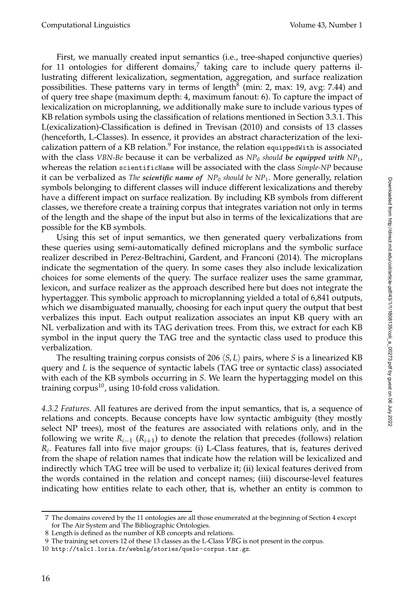First, we manually created input semantics (i.e., tree-shaped conjunctive queries) for 11 ontologies for different domains, $7$  taking care to include query patterns illustrating different lexicalization, segmentation, aggregation, and surface realization possibilities. These patterns vary in terms of length<sup>8</sup> (min: 2, max: 19, avg: 7.44) and of query tree shape (maximum depth: 4, maximum fanout: 6). To capture the impact of lexicalization on microplanning, we additionally make sure to include various types of KB relation symbols using the classification of relations mentioned in Section 3.3.1. This L(exicalization)-Classification is defined in Trevisan (2010) and consists of 13 classes (henceforth, L-Classes). In essence, it provides an abstract characterization of the lexicalization pattern of a KB relation.<sup>9</sup> For instance, the relation equippedWith is associated with the class *VBN-Be* because it can be verbalized as  $NP_0$  *should be equipped with*  $NP_1$ , whereas the relation scientificName will be associated with the class *Simple-NP* because it can be verbalized as *The scientific name of NP*<sup>0</sup> *should be NP*<sup>1</sup> . More generally, relation symbols belonging to different classes will induce different lexicalizations and thereby have a different impact on surface realization. By including KB symbols from different classes, we therefore create a training corpus that integrates variation not only in terms of the length and the shape of the input but also in terms of the lexicalizations that are possible for the KB symbols.

Using this set of input semantics, we then generated query verbalizations from these queries using semi-automatically defined microplans and the symbolic surface realizer described in Perez-Beltrachini, Gardent, and Franconi (2014). The microplans indicate the segmentation of the query. In some cases they also include lexicalization choices for some elements of the query. The surface realizer uses the same grammar, lexicon, and surface realizer as the approach described here but does not integrate the hypertagger. This symbolic approach to microplanning yielded a total of 6,841 outputs, which we disambiguated manually, choosing for each input query the output that best verbalizes this input. Each output realization associates an input KB query with an NL verbalization and with its TAG derivation trees. From this, we extract for each KB symbol in the input query the TAG tree and the syntactic class used to produce this verbalization.

The resulting training corpus consists of 206  $\langle S, L \rangle$  pairs, where *S* is a linearized KB query and *L* is the sequence of syntactic labels (TAG tree or syntactic class) associated with each of the KB symbols occurring in *S*. We learn the hypertagging model on this training corpus $^{10}$ , using 10-fold cross validation.

*4.3.2 Features.* All features are derived from the input semantics, that is, a sequence of relations and concepts. Because concepts have low syntactic ambiguity (they mostly select NP trees), most of the features are associated with relations only, and in the following we write  $R_{i-1}$  ( $R_{i+1}$ ) to denote the relation that precedes (follows) relation *Ri* . Features fall into five major groups: (i) L-Class features, that is, features derived from the shape of relation names that indicate how the relation will be lexicalized and indirectly which TAG tree will be used to verbalize it; (ii) lexical features derived from the words contained in the relation and concept names; (iii) discourse-level features indicating how entities relate to each other, that is, whether an entity is common to

<sup>7</sup> The domains covered by the 11 ontologies are all those enumerated at the beginning of Section 4 except for The Air System and The Bibliographic Ontologies.

<sup>8</sup> Length is defined as the number of KB concepts and relations.

<sup>9</sup> The training set covers 12 of these 13 classes as the L-Class *VBG* is not present in the corpus.

<sup>10</sup> http://talc1.loria.fr/webnlg/stories/quelo-corpus.tar.gz.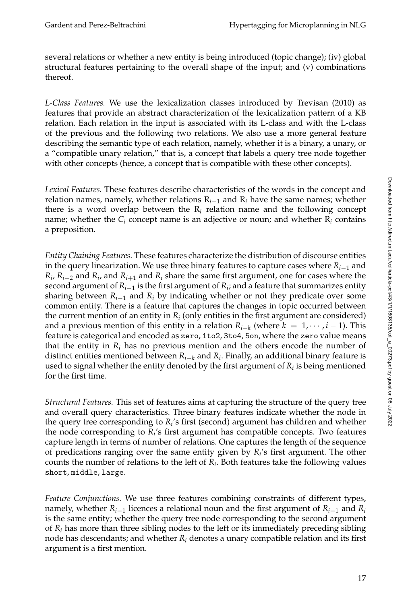several relations or whether a new entity is being introduced (topic change); (iv) global structural features pertaining to the overall shape of the input; and (v) combinations thereof.

*L-Class Features.* We use the lexicalization classes introduced by Trevisan (2010) as features that provide an abstract characterization of the lexicalization pattern of a KB relation. Each relation in the input is associated with its L-class and with the L-class of the previous and the following two relations. We also use a more general feature describing the semantic type of each relation, namely, whether it is a binary, a unary, or a "compatible unary relation," that is, a concept that labels a query tree node together with other concepts (hence, a concept that is compatible with these other concepts).

*Lexical Features.* These features describe characteristics of the words in the concept and relation names, namely, whether relations R*i*−<sup>1</sup> and R*<sup>i</sup>* have the same names; whether there is a word overlap between the  $R_i$  relation name and the following concept name; whether the  $C_i$  concept name is an adjective or noun; and whether  $R_i$  contains a preposition.

*Entity Chaining Features.* These features characterize the distribution of discourse entities in the query linearization. We use three binary features to capture cases where *Ri*−<sup>1</sup> and  $R_i$ ,  $R_{i-2}$  and  $R_i$ , and  $R_{i+1}$  and  $R_i$  share the same first argument, one for cases where the second argument of *Ri*−<sup>1</sup> is the first argument of *R<sup>i</sup>* ; and a feature that summarizes entity sharing between  $R_{i-1}$  and  $R_i$  by indicating whether or not they predicate over some common entity. There is a feature that captures the changes in topic occurred between the current mention of an entity in  $R_i$  (only entities in the first argument are considered) and a previous mention of this entity in a relation  $R_{i-k}$  (where  $k = 1, \dots, i-1$ ). This feature is categorical and encoded as zero, 1to2, 3to4, 5on, where the zero value means that the entity in  $R_i$  has no previous mention and the others encode the number of distinct entities mentioned between *Ri*−*<sup>k</sup>* and *R<sup>i</sup>* . Finally, an additional binary feature is used to signal whether the entity denoted by the first argument of  $R_i$  is being mentioned for the first time.

*Structural Features.* This set of features aims at capturing the structure of the query tree and overall query characteristics. Three binary features indicate whether the node in the query tree corresponding to *R<sup>i</sup>* 's first (second) argument has children and whether the node corresponding to *R<sup>i</sup>* 's first argument has compatible concepts. Two features capture length in terms of number of relations. One captures the length of the sequence of predications ranging over the same entity given by  $R_i$ 's first argument. The other counts the number of relations to the left of *R<sup>i</sup>* . Both features take the following values short, middle, large.

*Feature Conjunctions.* We use three features combining constraints of different types, namely, whether *Ri*−<sup>1</sup> licences a relational noun and the first argument of *Ri*−<sup>1</sup> and *R<sup>i</sup>* is the same entity; whether the query tree node corresponding to the second argument of *R<sup>i</sup>* has more than three sibling nodes to the left or its immediately preceding sibling node has descendants; and whether *R<sup>i</sup>* denotes a unary compatible relation and its first argument is a first mention.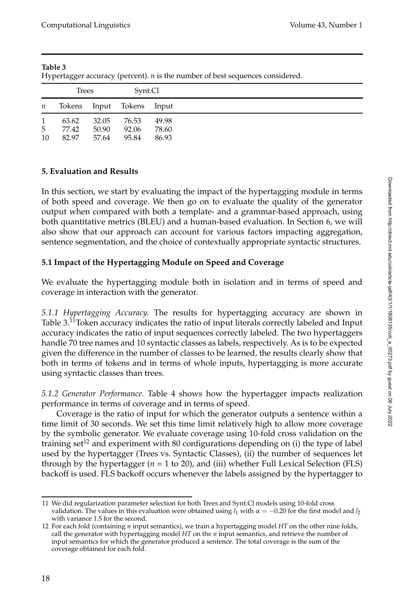Hypertagger accuracy (percent). *n* is the number of best sequences considered.

|               | Trees                   |                         | Synt.Cl                   |                         |
|---------------|-------------------------|-------------------------|---------------------------|-------------------------|
| $\mathfrak n$ |                         |                         | Tokens Input Tokens Input |                         |
| 1<br>5<br>10  | 63.62<br>77.42<br>82.97 | 32.05<br>50.90<br>57.64 | 76.53<br>92.06<br>95.84   | 49.98<br>78.60<br>86.93 |

# **5. Evaluation and Results**

In this section, we start by evaluating the impact of the hypertagging module in terms of both speed and coverage. We then go on to evaluate the quality of the generator output when compared with both a template- and a grammar-based approach, using both quantitative metrics (BLEU) and a human-based evaluation. In Section 6, we will also show that our approach can account for various factors impacting aggregation, sentence segmentation, and the choice of contextually appropriate syntactic structures.

# **5.1 Impact of the Hypertagging Module on Speed and Coverage**

We evaluate the hypertagging module both in isolation and in terms of speed and coverage in interaction with the generator.

*5.1.1 Hypertagging Accuracy.* The results for hypertagging accuracy are shown in Table 3.11Token accuracy indicates the ratio of input literals correctly labeled and Input accuracy indicates the ratio of input sequences correctly labeled. The two hypertaggers handle 70 tree names and 10 syntactic classes as labels, respectively. As is to be expected given the difference in the number of classes to be learned, the results clearly show that both in terms of tokens and in terms of whole inputs, hypertagging is more accurate using syntactic classes than trees.

*5.1.2 Generator Performance.* Table 4 shows how the hypertagger impacts realization performance in terms of coverage and in terms of speed.

Coverage is the ratio of input for which the generator outputs a sentence within a time limit of 30 seconds. We set this time limit relatively high to allow more coverage by the symbolic generator. We evaluate coverage using 10-fold cross validation on the training set<sup>12</sup> and experiment with 80 configurations depending on (i) the type of label used by the hypertagger (Trees vs. Syntactic Classes), (ii) the number of sequences let through by the hypertagger  $(n = 1$  to 20), and (iii) whether Full Lexical Selection (FLS) backoff is used. FLS backoff occurs whenever the labels assigned by the hypertagger to

<sup>11</sup> We did regularization parameter selection for both Trees and Synt.Cl models using 10-fold cross validation. The values in this evaluation were obtained using  $l_1$  with  $\alpha = -0.20$  for the first model and  $l_2$ with variance 1.5 for the second.

<sup>12</sup> For each fold (containing *n* input semantics), we train a hypertagging model *HT* on the other nine folds, call the generator with hypertagging model *HT* on the *n* input semantics, and retrieve the number of input semantics for which the generator produced a sentence. The total coverage is the sum of the coverage obtained for each fold.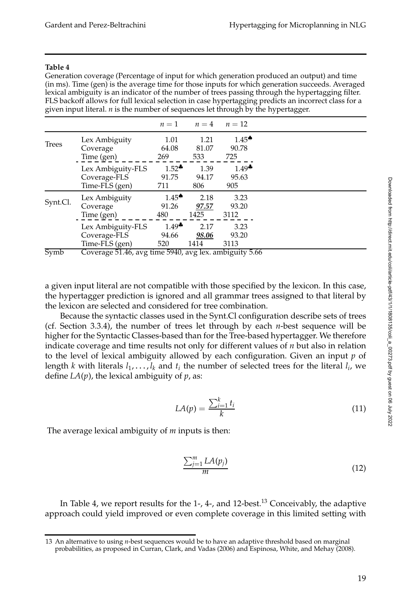#### **Table 4**

Generation coverage (Percentage of input for which generation produced an output) and time (in ms). Time (gen) is the average time for those inputs for which generation succeeds. Averaged lexical ambiguity is an indicator of the number of trees passing through the hypertagging filter. FLS backoff allows for full lexical selection in case hypertagging predicts an incorrect class for a given input literal. *n* is the number of sequences let through by the hypertagger.

|                          |                                                           | $n=1$                                                  | $n=4$                 | $n=12$                                                    |  |
|--------------------------|-----------------------------------------------------------|--------------------------------------------------------|-----------------------|-----------------------------------------------------------|--|
| <b>Trees</b>             | Lex Ambiguity<br>Coverage<br>Time (gen)                   | 1.01<br>64.08<br>269                                   | 1.21<br>81.07<br>533  | $1.45$ <sup><math>\spadesuit</math></sup><br>90.78<br>725 |  |
|                          | Lex Ambiguity-FLS<br>Coverage-FLS<br>Time-FLS (gen)       | $1.52$ <sup>*</sup><br>91.75<br>711                    | 1.39<br>94.17<br>806  | $1.49*$<br>95.63<br>905                                   |  |
| Synt.Cl.                 | Lex Ambiguity<br>Coverage<br>Time (gen)                   | $1.45$ <sup><math>\bullet</math></sup><br>91.26<br>480 | 2.18<br>97.57<br>1425 | 3.23<br>93.20<br>3112                                     |  |
|                          | Lex Ambiguity-FLS<br>Coverage-FLS<br>Time-FLS (gen)       | $1.49$ <sup>*</sup><br>94.66<br>520                    | 2.17<br>98.06<br>1414 | 3.23<br>93.20<br>3113                                     |  |
| $\overline{\text{Symb}}$ | $Covera$ ge 51.46, avg time 5940, avg lex, ambiguity 5.66 |                                                        |                       |                                                           |  |

Coverage 51.46, avg time 5940, avg lex. ambiguity 5.66

a given input literal are not compatible with those specified by the lexicon. In this case, the hypertagger prediction is ignored and all grammar trees assigned to that literal by the lexicon are selected and considered for tree combination.

Because the syntactic classes used in the Synt.Cl configuration describe sets of trees (cf. Section 3.3.4), the number of trees let through by each *n*-best sequence will be higher for the Syntactic Classes-based than for the Tree-based hypertagger. We therefore indicate coverage and time results not only for different values of *n* but also in relation to the level of lexical ambiguity allowed by each configuration. Given an input *p* of length *k* with literals  $l_1, \ldots, l_k$  and  $t_i$  the number of selected trees for the literal  $l_i$ , we define  $LA(p)$ , the lexical ambiguity of  $p$ , as:

$$
LA(p) = \frac{\sum_{i=1}^{k} t_i}{k} \tag{11}
$$

The average lexical ambiguity of *m* inputs is then:

$$
\frac{\sum_{j=1}^{m} LA(p_j)}{m}
$$
 (12)

In Table 4, we report results for the 1-, 4-, and 12-best.<sup>13</sup> Conceivably, the adaptive approach could yield improved or even complete coverage in this limited setting with

<sup>13</sup> An alternative to using *n*-best sequences would be to have an adaptive threshold based on marginal probabilities, as proposed in Curran, Clark, and Vadas (2006) and Espinosa, White, and Mehay (2008).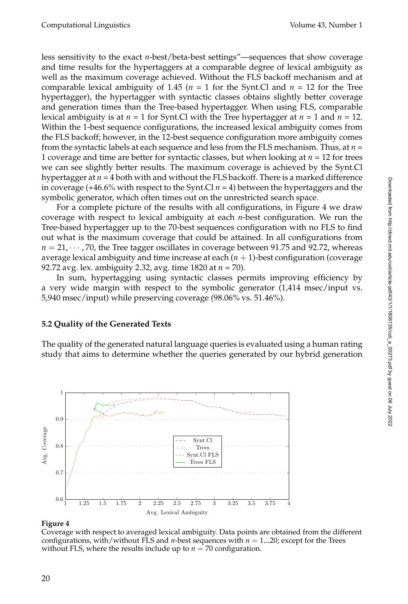less sensitivity to the exact *n*-best/beta-best settings"—sequences that show coverage and time results for the hypertaggers at a comparable degree of lexical ambiguity as well as the maximum coverage achieved. Without the FLS backoff mechanism and at comparable lexical ambiguity of 1.45 ( $n = 1$  for the Synt.Cl and  $n = 12$  for the Tree hypertagger), the hypertagger with syntactic classes obtains slightly better coverage and generation times than the Tree-based hypertagger. When using FLS, comparable lexical ambiguity is at  $n = 1$  for Synt. Cl with the Tree hypertagger at  $n = 1$  and  $n = 12$ . Within the 1-best sequence configurations, the increased lexical ambiguity comes from the FLS backoff; however, in the 12-best sequence configuration more ambiguity comes from the syntactic labels at each sequence and less from the FLS mechanism. Thus, at *n* = 1 coverage and time are better for syntactic classes, but when looking at *n* = 12 for trees we can see slightly better results. The maximum coverage is achieved by the Synt.Cl hypertagger at *n* = 4 both with and without the FLS backoff. There is a marked difference in coverage (+46.6% with respect to the Synt.Cl  $n = 4$ ) between the hypertaggers and the symbolic generator, which often times out on the unrestricted search space.

For a complete picture of the results with all configurations, in Figure 4 we draw coverage with respect to lexical ambiguity at each *n*-best configuration. We run the Tree-based hypertagger up to the 70-best sequences configuration with no FLS to find out what is the maximum coverage that could be attained. In all configurations from  $n = 21, \dots, 70$ , the Tree tagger oscillates in coverage between 91.75 and 92.72, whereas average lexical ambiguity and time increase at each  $(n + 1)$ -best configuration (coverage 92.72 avg. lex. ambiguity 2.32, avg. time 1820 at *n* = 70).

In sum, hypertagging using syntactic classes permits improving efficiency by a very wide margin with respect to the symbolic generator (1,414 msec/input vs. 5,940 msec/input) while preserving coverage (98.06% vs. 51.46%).

## **5.2 Quality of the Generated Texts**

The quality of the generated natural language queries is evaluated using a human rating study that aims to determine whether the queries generated by our hybrid generation



#### **Figure 4**

Coverage with respect to averaged lexical ambiguity. Data points are obtained from the different configurations, with/without FLS and *n*-best sequences with *n* = 1...20; except for the Trees without FLS, where the results include up to  $n = 70$  configuration.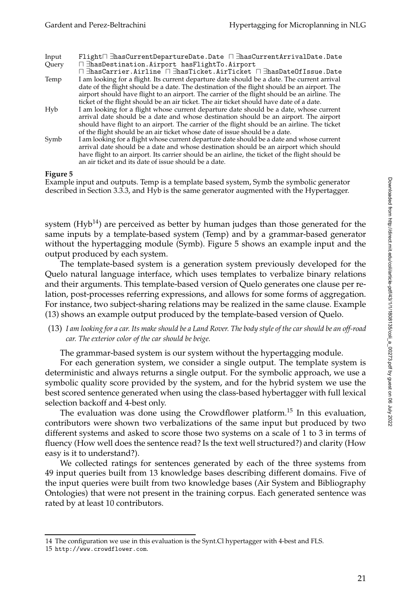| Input | $\texttt{Flight} \Box$ hasCurrentDepartureDate.Date $\Box$ hasCurrentArrivalDate.Date |
|-------|---------------------------------------------------------------------------------------|
| Query | $\Box$ $\exists$ has <code>Destination.Airport hasFlightTo.Airport</code>             |

- ⊓ ∃hasCarrier.Airline ⊓ ∃hasTicket.AirTicket ⊓ ∃hasDateOfIssue.Date Temp I am looking for a flight. Its current departure date should be a date. The current arrival date of the flight should be a date. The destination of the flight should be an airport. The airport should have flight to an airport. The carrier of the flight should be an airline. The ticket of the flight should be an air ticket. The air ticket should have date of a date.
- Hyb I am looking for a flight whose current departure date should be a date, whose current arrival date should be a date and whose destination should be an airport. The airport should have flight to an airport. The carrier of the flight should be an airline. The ticket of the flight should be an air ticket whose date of issue should be a date.
- Symb I am looking for a flight whose current departure date should be a date and whose current arrival date should be a date and whose destination should be an airport which should have flight to an airport. Its carrier should be an airline, the ticket of the flight should be an air ticket and its date of issue should be a date.

#### **Figure 5**

Example input and outputs. Temp is a template based system, Symb the symbolic generator described in Section 3.3.3, and Hyb is the same generator augmented with the Hypertagger.

system  $(Hyb^{14})$  are perceived as better by human judges than those generated for the same inputs by a template-based system (Temp) and by a grammar-based generator without the hypertagging module (Symb). Figure 5 shows an example input and the output produced by each system.

The template-based system is a generation system previously developed for the Quelo natural language interface, which uses templates to verbalize binary relations and their arguments. This template-based version of Quelo generates one clause per relation, post-processes referring expressions, and allows for some forms of aggregation. For instance, two subject-sharing relations may be realized in the same clause. Example (13) shows an example output produced by the template-based version of Quelo.

(13) *I am looking for a car. Its make should be a Land Rover. The body style of the car should be an off-road car. The exterior color of the car should be beige.*

The grammar-based system is our system without the hypertagging module.

For each generation system, we consider a single output. The template system is deterministic and always returns a single output. For the symbolic approach, we use a symbolic quality score provided by the system, and for the hybrid system we use the best scored sentence generated when using the class-based hybertagger with full lexical selection backoff and 4-best only.

The evaluation was done using the Crowdflower platform.<sup>15</sup> In this evaluation, contributors were shown two verbalizations of the same input but produced by two different systems and asked to score those two systems on a scale of 1 to 3 in terms of fluency (How well does the sentence read? Is the text well structured?) and clarity (How easy is it to understand?).

We collected ratings for sentences generated by each of the three systems from 49 input queries built from 13 knowledge bases describing different domains. Five of the input queries were built from two knowledge bases (Air System and Bibliography Ontologies) that were not present in the training corpus. Each generated sentence was rated by at least 10 contributors.

<sup>14</sup> The configuration we use in this evaluation is the Synt.Cl hypertagger with 4-best and FLS.

<sup>15</sup> http://www.crowdflower.com.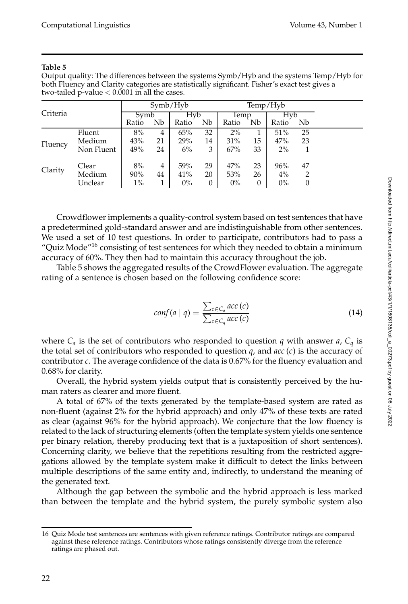#### **Table 5**

Output quality: The differences between the systems Symb/Hyb and the systems Temp/Hyb for both Fluency and Clarity categories are statistically significant. Fisher's exact test gives a two-tailed p-value < 0.0001 in all the cases.

|          | Symb/Hyb                       |                    |               | Temp/Hyb            |                      |                     |               |                    |                     |
|----------|--------------------------------|--------------------|---------------|---------------------|----------------------|---------------------|---------------|--------------------|---------------------|
| Criteria |                                | Symb<br>Ratio      | Nb            | Hyb<br>Ratio        | Nb                   | Temp<br>Ratio       | Nb            | Hyb<br>Ratio       | Nb.                 |
| Fluency  | Fluent<br>Medium<br>Non Fluent | 8%<br>43%<br>49%   | 4<br>21<br>24 | 65%<br>29%<br>$6\%$ | 32<br>14<br>3        | $2\%$<br>31%<br>67% | 15<br>33      | 51%<br>47%<br>2%   | 25<br>23            |
| Clarity  | Clear<br>Medium<br>Unclear     | 8%<br>90%<br>$1\%$ | 4<br>44       | 59%<br>41%<br>$0\%$ | 29<br>20<br>$\theta$ | 47%<br>53%<br>$0\%$ | 23<br>26<br>0 | 96%<br>4%<br>$0\%$ | 47<br>2<br>$\theta$ |

Crowdflower implements a quality-control system based on test sentences that have a predetermined gold-standard answer and are indistinguishable from other sentences. We used a set of 10 test questions. In order to participate, contributors had to pass a "Quiz Mode"<sup>16</sup> consisting of test sentences for which they needed to obtain a minimum accuracy of 60%. They then had to maintain this accuracy throughout the job.

Table 5 shows the aggregated results of the CrowdFlower evaluation. The aggregate rating of a sentence is chosen based on the following confidence score:

$$
conf(a \mid q) = \frac{\sum_{c \in C_a} acc(c)}{\sum_{c \in C_q} acc(c)} \tag{14}
$$

where  $C_a$  is the set of contributors who responded to question  $q$  with answer  $a$ ,  $C_q$  is the total set of contributors who responded to question *q*, and *acc* (*c*) is the accuracy of contributor *c*. The average confidence of the data is 0.67% for the fluency evaluation and 0.68% for clarity.

Overall, the hybrid system yields output that is consistently perceived by the human raters as clearer and more fluent.

A total of 67% of the texts generated by the template-based system are rated as non-fluent (against 2% for the hybrid approach) and only 47% of these texts are rated as clear (against 96% for the hybrid approach). We conjecture that the low fluency is related to the lack of structuring elements (often the template system yields one sentence per binary relation, thereby producing text that is a juxtaposition of short sentences). Concerning clarity, we believe that the repetitions resulting from the restricted aggregations allowed by the template system make it difficult to detect the links between multiple descriptions of the same entity and, indirectly, to understand the meaning of the generated text.

Although the gap between the symbolic and the hybrid approach is less marked than between the template and the hybrid system, the purely symbolic system also

<sup>16</sup> Quiz Mode test sentences are sentences with given reference ratings. Contributor ratings are compared against these reference ratings. Contributors whose ratings consistently diverge from the reference ratings are phased out.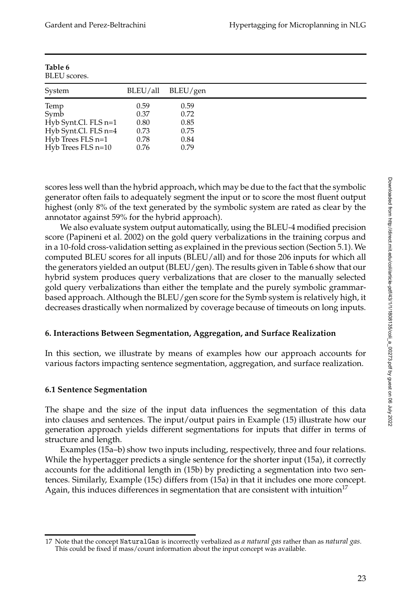| Table 6<br>BLEU scores. |          |          |  |  |  |  |
|-------------------------|----------|----------|--|--|--|--|
| System                  | BLEU/all | BLEU/gen |  |  |  |  |
| Temp                    | 0.59     | 0.59     |  |  |  |  |
| Symb                    | 0.37     | 0.72     |  |  |  |  |
| Hyb Synt.Cl. FLS n=1    | 0.80     | 0.85     |  |  |  |  |
| Hyb Synt.Cl. FLS n=4    | 0.73     | 0.75     |  |  |  |  |
| Hyb Trees FLS n=1       | 0.78     | 0.84     |  |  |  |  |
| $Hyb$ Trees FLS $n=10$  | 0.76     | 0.79     |  |  |  |  |

| Table 6 |             |
|---------|-------------|
|         | BLEU scores |

scores less well than the hybrid approach, which may be due to the fact that the symbolic generator often fails to adequately segment the input or to score the most fluent output highest (only 8% of the text generated by the symbolic system are rated as clear by the annotator against 59% for the hybrid approach).

We also evaluate system output automatically, using the BLEU-4 modified precision score (Papineni et al. 2002) on the gold query verbalizations in the training corpus and in a 10-fold cross-validation setting as explained in the previous section (Section 5.1). We computed BLEU scores for all inputs (BLEU/all) and for those 206 inputs for which all the generators yielded an output (BLEU/gen). The results given in Table 6 show that our hybrid system produces query verbalizations that are closer to the manually selected gold query verbalizations than either the template and the purely symbolic grammarbased approach. Although the BLEU/gen score for the Symb system is relatively high, it decreases drastically when normalized by coverage because of timeouts on long inputs.

#### **6. Interactions Between Segmentation, Aggregation, and Surface Realization**

In this section, we illustrate by means of examples how our approach accounts for various factors impacting sentence segmentation, aggregation, and surface realization.

### **6.1 Sentence Segmentation**

The shape and the size of the input data influences the segmentation of this data into clauses and sentences. The input/output pairs in Example (15) illustrate how our generation approach yields different segmentations for inputs that differ in terms of structure and length.

Examples (15a–b) show two inputs including, respectively, three and four relations. While the hypertagger predicts a single sentence for the shorter input (15a), it correctly accounts for the additional length in (15b) by predicting a segmentation into two sentences. Similarly, Example (15c) differs from (15a) in that it includes one more concept. Again, this induces differences in segmentation that are consistent with intuition<sup>17</sup>

<sup>17</sup> Note that the concept NaturalGas is incorrectly verbalized as *a natural gas* rather than as *natural gas*. This could be fixed if mass/count information about the input concept was available.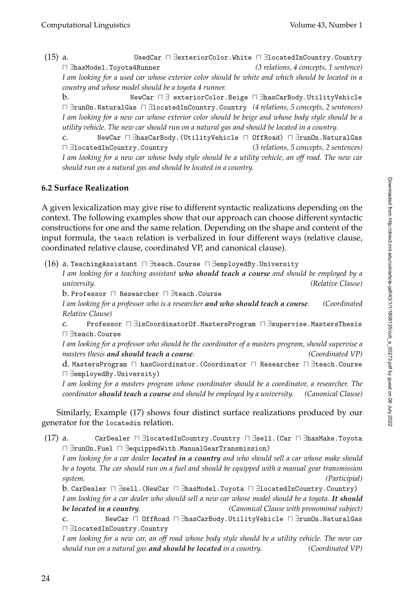(15) a. UsedCar ⊓ ∃exteriorColor.White ⊓ ∃locatedInCountry.Country ⊓ ∃hasModel.Toyota4Runner *(3 relations, 4 concepts, 1 sentence) I am looking for a used car whose exterior color should be white and which should be located in a country and whose model should be a toyota 4 runner.*

b. NewCar ⊓ ∃ exteriorColor.Beige ⊓ ∃hasCarBody.UtilityVehicle ⊓ ∃runOn.NaturalGas ⊓ ∃locatedInCountry.Country *(4 relations, 5 concepts, 2 sentences) I am looking for a new car whose exterior color should be beige and whose body style should be a utility vehicle. The new car should run on a natural gas and should be located in a country.*

c. NewCar ⊓ ∃hasCarBody.(UtilityVehicle ⊓ OffRoad) ⊓ ∃runOn.NaturalGas ⊓ ∃locatedInCountry.Country *(3 relations, 5 concepts, 2 sentences) I am looking for a new car whose body style should be a utility vehicle, an off road. The new car should run on a natural gas and should be located in a country.*

# **6.2 Surface Realization**

A given lexicalization may give rise to different syntactic realizations depending on the context. The following examples show that our approach can choose different syntactic constructions for one and the same relation. Depending on the shape and content of the input formula, the teach relation is verbalized in four different ways (relative clause, coordinated relative clause, coordinated VP, and canonical clause).

(16) a. TeachingAssistant ⊓ ∃teach.Course ⊓ ∃employedBy.University

*I am looking for a teaching assistant who should teach a course and should be employed by a university. (Relative Clause)*

b. Professor ⊓ Researcher ⊓ ∃teach.Course

*I am looking for a professor who is a researcher and who should teach a course. (Coordinated Relative Clause)*

c. Professor ⊓ ∃isCoordinatorOf.MastersProgram ⊓ ∃supervise.MastersThesis ⊓ ∃teach.Course

*I am looking for a professor who should be the coordinator of a masters program, should supervise a masters thesis and should teach a course. (Coordinated VP)*

d. MastersProgram ⊓ hasCoordinator.(Coordinator ⊓ Researcher ⊓ ∃teach.Course ⊓ ∃employedBy.University)

*I am looking for a masters program whose coordinator should be a coordinator, a researcher. The coordinator should teach a course and should be employed by a university. (Canonical Clause)*

Similarly, Example (17) shows four distinct surface realizations produced by our generator for the locatedin relation.

(17) a. CarDealer ⊓ ∃locatedInCountry.Country ⊓ ∃sell.(Car ⊓ ∃hasMake.Toyota ⊓ ∃runOn.Fuel ⊓ ∃equippedWith.ManualGearTransmission)

*I am looking for a car dealer located in a country and who should sell a car whose make should be a toyota. The car should run on a fuel and should be equipped with a manual gear transmission system. (Participial)*

b. CarDealer ⊓ ∃sell.(NewCar ⊓ ∃hasModel.Toyota ⊓ ∃locatedInCountry.Country) *I am looking for a car dealer who should sell a new car whose model should be a toyota. It should be located in a country. (Canonical Clause with pronominal subject)*

c. NewCar ⊓ OffRoad ⊓ ∃hasCarBody.UtilityVehicle ⊓ ∃runOn.NaturalGas ⊓ ∃locatedInCountry.Country

*I am looking for a new car, an off road whose body style should be a utility vehicle. The new car should run on a natural gas and should be located in a country. (Coordinated VP)*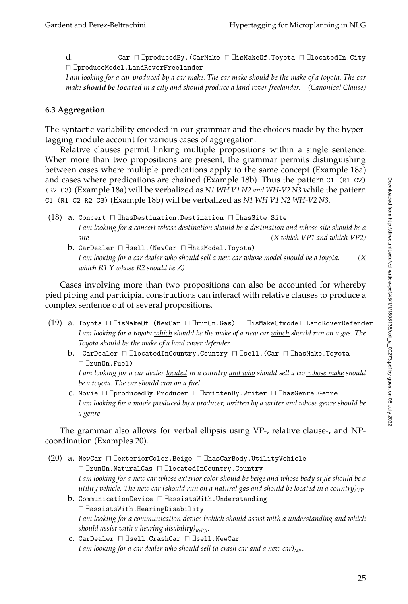d. Car ⊓ ∃producedBy.(CarMake ⊓ ∃isMakeOf.Toyota ⊓ ∃locatedIn.City ⊓ ∃produceModel.LandRoverFreelander

*I am looking for a car produced by a car make. The car make should be the make of a toyota. The car make should be located in a city and should produce a land rover freelander. (Canonical Clause)*

# **6.3 Aggregation**

The syntactic variability encoded in our grammar and the choices made by the hypertagging module account for various cases of aggregation.

Relative clauses permit linking multiple propositions within a single sentence. When more than two propositions are present, the grammar permits distinguishing between cases where multiple predications apply to the same concept (Example 18a) and cases where predications are chained (Example 18b). Thus the pattern C1 (R1 C2) (R2 C3) (Example 18a) will be verbalized as *N1 WH V1 N2 and WH-V2 N3* while the pattern C1 (R1 C2 R2 C3) (Example 18b) will be verbalized as *N1 WH V1 N2 WH-V2 N3*.

- (18) a. Concert ⊓ ∃hasDestination.Destination ⊓ ∃hasSite.Site *I am looking for a concert whose destination should be a destination and whose site should be a site (X which VP1 and which VP2)*
	- b. CarDealer ⊓ ∃sell.(NewCar ⊓ ∃hasModel.Toyota) *I am looking for a car dealer who should sell a new car whose model should be a toyota. (X which R1 Y whose R2 should be Z)*

Cases involving more than two propositions can also be accounted for whereby pied piping and participial constructions can interact with relative clauses to produce a complex sentence out of several propositions.

- (19) a. Toyota ⊓ ∃isMakeOf.(NewCar ⊓ ∃runOn.Gas) ⊓ ∃isMakeOfmodel.LandRoverDefender *I am looking for a toyota which should be the make of a new car which should run on a gas. The Toyota should be the make of a land rover defender.*
	- b. CarDealer ⊓ ∃locatedInCountry.Country ⊓ ∃sell.(Car ⊓ ∃hasMake.Toyota ⊓ ∃runOn.Fuel) *I am looking for a car dealer located in a country and who should sell a car whose make should be a toyota. The car should run on a fuel.*
	- c. Movie ⊓ ∃producedBy.Producer ⊓ ∃writtenBy.Writer ⊓ ∃hasGenre.Genre *I am looking for a movie produced by a producer, written by a writer and whose genre should be a genre*

The grammar also allows for verbal ellipsis using VP-, relative clause-, and NPcoordination (Examples 20).

- (20) a. NewCar ⊓ ∃exteriorColor.Beige ⊓ ∃hasCarBody.UtilityVehicle ⊓ ∃runOn.NaturalGas ⊓ ∃locatedInCountry.Country *I am looking for a new car whose exterior color should be beige and whose body style should be a utility vehicle. The new car (should run on a natural gas and should be located in a country)VP.*
	- b. CommunicationDevice ⊓ ∃assistsWith.Understanding ⊓ ∃assistsWith.HearingDisability *I am looking for a communication device (which should assist with a understanding and which should assist with a hearing disability)RelCl.*
	- c. CarDealer ⊓ ∃sell.CrashCar ⊓ ∃sell.NewCar *I am looking for a car dealer who should sell (a crash car and a new car)*<sub>*NP</sub>*.</sub>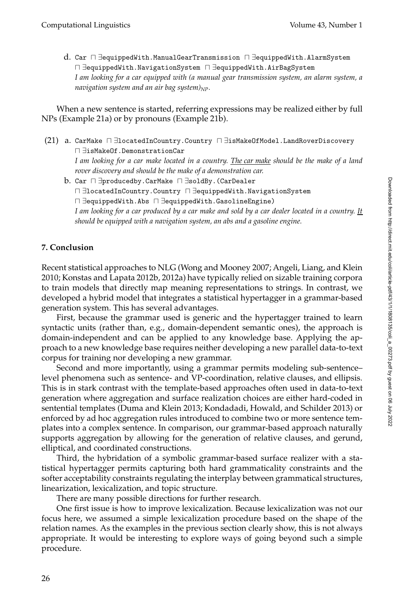d. Car ⊓ ∃equippedWith.ManualGearTransmission ⊓ ∃equippedWith.AlarmSystem ⊓ ∃equippedWith.NavigationSystem ⊓ ∃equippedWith.AirBagSystem *I am looking for a car equipped with (a manual gear transmission system, an alarm system, a navigation system and an air bag system)NP.*

When a new sentence is started, referring expressions may be realized either by full NPs (Example 21a) or by pronouns (Example 21b).

- (21) a. CarMake ⊓ ∃locatedInCountry.Country ⊓ ∃isMakeOfModel.LandRoverDiscovery ⊓ ∃isMakeOf.DemonstrationCar *I am looking for a car make located in a country. The car make should be the make of a land rover discovery and should be the make of a demonstration car.*
	- b. Car ⊓ ∃producedby.CarMake ⊓ ∃soldBy.(CarDealer ⊓ ∃locatedInCountry.Country ⊓ ∃equippedWith.NavigationSystem ⊓ ∃equippedWith.Abs ⊓ ∃equippedWith.GasolineEngine) *I am looking for a car produced by a car make and sold by a car dealer located in a country. It should be equipped with a navigation system, an abs and a gasoline engine.*

## **7. Conclusion**

Recent statistical approaches to NLG (Wong and Mooney 2007; Angeli, Liang, and Klein 2010; Konstas and Lapata 2012b, 2012a) have typically relied on sizable training corpora to train models that directly map meaning representations to strings. In contrast, we developed a hybrid model that integrates a statistical hypertagger in a grammar-based generation system. This has several advantages.

First, because the grammar used is generic and the hypertagger trained to learn syntactic units (rather than, e.g., domain-dependent semantic ones), the approach is domain-independent and can be applied to any knowledge base. Applying the approach to a new knowledge base requires neither developing a new parallel data-to-text corpus for training nor developing a new grammar.

Second and more importantly, using a grammar permits modeling sub-sentence– level phenomena such as sentence- and VP-coordination, relative clauses, and ellipsis. This is in stark contrast with the template-based approaches often used in data-to-text generation where aggregation and surface realization choices are either hard-coded in sentential templates (Duma and Klein 2013; Kondadadi, Howald, and Schilder 2013) or enforced by ad hoc aggregation rules introduced to combine two or more sentence templates into a complex sentence. In comparison, our grammar-based approach naturally supports aggregation by allowing for the generation of relative clauses, and gerund, elliptical, and coordinated constructions.

Third, the hybridation of a symbolic grammar-based surface realizer with a statistical hypertagger permits capturing both hard grammaticality constraints and the softer acceptability constraints regulating the interplay between grammatical structures, linearization, lexicalization, and topic structure.

There are many possible directions for further research.

One first issue is how to improve lexicalization. Because lexicalization was not our focus here, we assumed a simple lexicalization procedure based on the shape of the relation names. As the examples in the previous section clearly show, this is not always appropriate. It would be interesting to explore ways of going beyond such a simple procedure.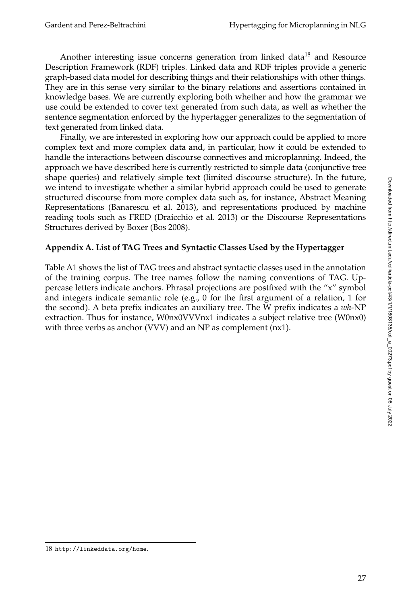Another interesting issue concerns generation from linked data<sup>18</sup> and Resource Description Framework (RDF) triples. Linked data and RDF triples provide a generic graph-based data model for describing things and their relationships with other things. They are in this sense very similar to the binary relations and assertions contained in knowledge bases. We are currently exploring both whether and how the grammar we use could be extended to cover text generated from such data, as well as whether the sentence segmentation enforced by the hypertagger generalizes to the segmentation of text generated from linked data.

Finally, we are interested in exploring how our approach could be applied to more complex text and more complex data and, in particular, how it could be extended to handle the interactions between discourse connectives and microplanning. Indeed, the approach we have described here is currently restricted to simple data (conjunctive tree shape queries) and relatively simple text (limited discourse structure). In the future, we intend to investigate whether a similar hybrid approach could be used to generate structured discourse from more complex data such as, for instance, Abstract Meaning Representations (Banarescu et al. 2013), and representations produced by machine reading tools such as FRED (Draicchio et al. 2013) or the Discourse Representations Structures derived by Boxer (Bos 2008).

### **Appendix A. List of TAG Trees and Syntactic Classes Used by the Hypertagger**

Table A1 shows the list of TAG trees and abstract syntactic classes used in the annotation of the training corpus. The tree names follow the naming conventions of TAG. Uppercase letters indicate anchors. Phrasal projections are postfixed with the "x" symbol and integers indicate semantic role (e.g., 0 for the first argument of a relation, 1 for the second). A beta prefix indicates an auxiliary tree. The W prefix indicates a *wh*-NP extraction. Thus for instance, W0nx0VVVnx1 indicates a subject relative tree (W0nx0) with three verbs as anchor (VVV) and an NP as complement (nx1).

<sup>18</sup> http://linkeddata.org/home.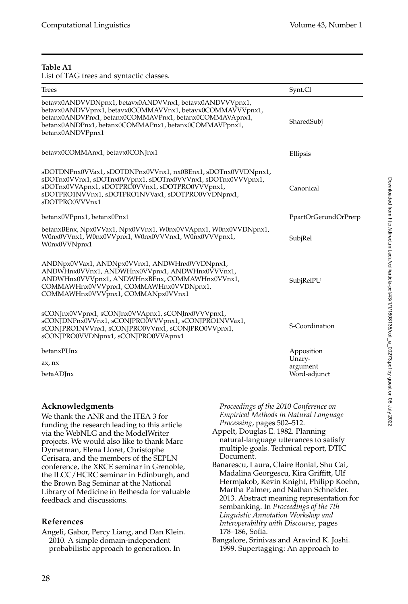#### **Table A1**

List of TAG trees and syntactic classes.

| <b>Trees</b>                                                                                                                                                                                                                                                 | Synt.Cl                                          |
|--------------------------------------------------------------------------------------------------------------------------------------------------------------------------------------------------------------------------------------------------------------|--------------------------------------------------|
| betavx0ANDVVDNpnx1, betavx0ANDVVnx1, betavx0ANDVVVpnx1,<br>betavx0ANDVVpnx1, betavx0COMMAVVnx1, betavx0COMMAVVVpnx1,<br>betanx0ANDVPnx1, betanx0COMMAVPnx1, betanx0COMMAVApnx1,<br>betanx0ANDPnx1, betanx0COMMAPnx1, betanx0COMMAVPpnx1,<br>betanx0ANDVPpnx1 | SharedSubj                                       |
| betavx0COMMAnx1, betavx0CONJnx1                                                                                                                                                                                                                              | Ellipsis                                         |
| sDOTDNPnx0VVax1, sDOTDNPnx0VVnx1, nx0BEnx1, sDOTnx0VVDNpnx1,<br>sDOTnx0VVnx1, sDOTnx0VVpnx1, sDOTnx0VVVnx1, sDOTnx0VVVpnx1,<br>sDOTnx0VVApnx1, sDOTPRO0VVnx1, sDOTPRO0VVVpnx1,<br>sDOTPRO1NVVnx1, sDOTPRO1NVVax1, sDOTPRO0VVDNpnx1,<br>sDOTPRO0VVVnx1        | Canonical                                        |
| betanx0VPpnx1, betanx0Pnx1                                                                                                                                                                                                                                   | PpartOrGerundOrPrerp                             |
| betanxBEnx, Npx0VVax1, Npx0VVnx1, W0nx0VVApnx1, W0nx0VVDNpnx1,<br>W0nx0VVnx1, W0nx0VVpnx1, W0nx0VVVnx1, W0nx0VVVpnx1,<br>W0nx0VVNpnx1                                                                                                                        | SubjRel                                          |
| ANDNpx0VVax1, ANDNpx0VVnx1, ANDWHnx0VVDNpnx1,<br>ANDWHnx0VVnx1, ANDWHnx0VVpnx1, ANDWHnx0VVVnx1,<br>ANDWHnx0VVVpnx1, ANDWHnxBEnx, COMMAWHnx0VVnx1,<br>COMMAWHnx0VVVpnx1, COMMAWHnx0VVDNpnx1,<br>COMMAWHnx0VVVpnx1, COMMANpx0VVnx1                             | SubjRelPU                                        |
| sCONJnx0VVpnx1, sCONJnx0VVApnx1, sCONJnx0VVVpnx1,<br>sCONJDNPnx0VVnx1, sCONJPRO0VVVpnx1, sCONJPRO1NVVax1,<br>sCONJPRO1NVVnx1, sCONJPRO0VVnx1, sCONJPRO0VVpnx1,<br>sCONJPRO0VVDNpnx1, sCONJPRO0VVApnx1                                                        | S-Coordination                                   |
| betanxPUnx<br>ax, nx<br>betaADJnx                                                                                                                                                                                                                            | Apposition<br>Unary-<br>argument<br>Word-adjunct |

#### **Acknowledgments**

We thank the ANR and the ITEA 3 for funding the research leading to this article via the WebNLG and the ModelWriter projects. We would also like to thank Marc Dymetman, Elena Lloret, Christophe Cerisara, and the members of the SEPLN conference, the XRCE seminar in Grenoble, the ILCC/HCRC seminar in Edinburgh, and the Brown Bag Seminar at the National Library of Medicine in Bethesda for valuable feedback and discussions.

### **References**

Angeli, Gabor, Percy Liang, and Dan Klein. 2010. A simple domain-independent probabilistic approach to generation. In

*Proceedings of the 2010 Conference on Empirical Methods in Natural Language Processing*, pages 502–512.

- Appelt, Douglas E. 1982. Planning natural-language utterances to satisfy multiple goals. Technical report, DTIC Document.
- Banarescu, Laura, Claire Bonial, Shu Cai, Madalina Georgescu, Kira Griffitt, Ulf Hermjakob, Kevin Knight, Philipp Koehn, Martha Palmer, and Nathan Schneider. 2013. Abstract meaning representation for sembanking. In *Proceedings of the 7th Linguistic Annotation Workshop and Interoperability with Discourse*, pages 178–186, Sofia.
- Bangalore, Srinivas and Aravind K. Joshi. 1999. Supertagging: An approach to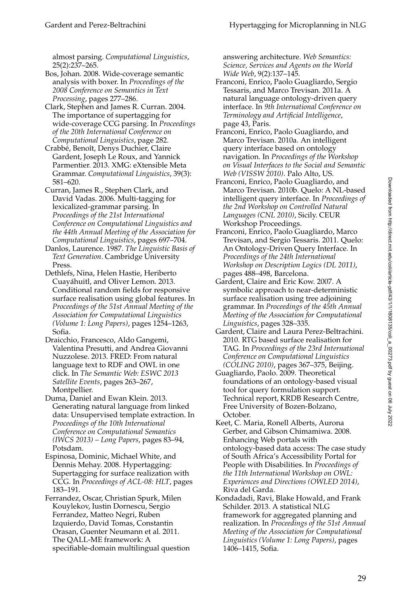almost parsing. *Computational Linguistics*, 25(2):237–265.

Bos, Johan. 2008. Wide-coverage semantic analysis with boxer. In *Proceedings of the 2008 Conference on Semantics in Text Processing*, pages 277–286.

- Clark, Stephen and James R. Curran. 2004. The importance of supertagging for wide-coverage CCG parsing. In *Proceedings of the 20th International Conference on Computational Linguistics*, page 282.
- Crabbé, Benoît, Denys Duchier, Claire Gardent, Joseph Le Roux, and Yannick Parmentier. 2013. XMG: eXtensible Meta Grammar. *Computational Linguistics*, 39(3): 581–620.

Curran, James R., Stephen Clark, and David Vadas. 2006. Multi-tagging for lexicalized-grammar parsing. In *Proceedings of the 21st International Conference on Computational Linguistics and the 44th Annual Meeting of the Association for Computational Linguistics*, pages 697–704.

- Danlos, Laurence. 1987. *The Linguistic Basis of Text Generation*. Cambridge University Press.
- Dethlefs, Nina, Helen Hastie, Heriberto Cuayáhuitl, and Oliver Lemon. 2013. Conditional random fields for responsive surface realisation using global features. In *Proceedings of the 51st Annual Meeting of the Association for Computational Linguistics (Volume 1: Long Papers)*, pages 1254–1263, Sofia.
- Draicchio, Francesco, Aldo Gangemi, Valentina Presutti, and Andrea Giovanni Nuzzolese. 2013. FRED: From natural language text to RDF and OWL in one click. In *The Semantic Web: ESWC 2013 Satellite Events*, pages 263–267, Montpellier.

Duma, Daniel and Ewan Klein. 2013. Generating natural language from linked data: Unsupervised template extraction. In *Proceedings of the 10th International Conference on Computational Semantics (IWCS 2013) – Long Papers*, pages 83–94, Potsdam.

Espinosa, Dominic, Michael White, and Dennis Mehay. 2008. Hypertagging: Supertagging for surface realization with CCG. In *Proceedings of ACL-08: HLT*, pages 183–191.

Ferrandez, Oscar, Christian Spurk, Milen Kouylekov, Iustin Dornescu, Sergio Ferrandez, Matteo Negri, Ruben Izquierdo, David Tomas, Constantin Orasan, Guenter Neumann et al. 2011. The QALL-ME framework: A specifiable-domain multilingual question answering architecture. *Web Semantics: Science, Services and Agents on the World Wide Web*, 9(2):137–145.

- Franconi, Enrico, Paolo Guagliardo, Sergio Tessaris, and Marco Trevisan. 2011a. A natural language ontology-driven query interface. In *9th International Conference on Terminology and Artificial Intelligence*, page 43, Paris.
- Franconi, Enrico, Paolo Guagliardo, and Marco Trevisan. 2010a. An intelligent query interface based on ontology navigation. In *Proceedings of the Workshop on Visual Interfaces to the Social and Semantic Web (VISSW 2010)*. Palo Alto, US.
- Franconi, Enrico, Paolo Guagliardo, and Marco Trevisan. 2010b. Quelo: A NL-based intelligent query interface. In *Proceedings of the 2nd Workshop on Controlled Natural Languages (CNL 2010)*, Sicily. CEUR Workshop Proceedings.
- Franconi, Enrico, Paolo Guagliardo, Marco Trevisan, and Sergio Tessaris. 2011. Quelo: An Ontology-Driven Query Interface. In *Proceedings of the 24th International Workshop on Description Logics (DL 2011)*, pages 488–498, Barcelona.
- Gardent, Claire and Eric Kow. 2007. A symbolic approach to near-deterministic surface realisation using tree adjoining grammar. In *Proceedings of the 45th Annual Meeting of the Association for Computational Linguistics*, pages 328–335.
- Gardent, Claire and Laura Perez-Beltrachini. 2010. RTG based surface realisation for TAG. In *Proceedings of the 23rd International Conference on Computational Linguistics (COLING 2010)*, pages 367–375, Beijing.
- Guagliardo, Paolo. 2009. Theoretical foundations of an ontology-based visual tool for query formulation support. Technical report, KRDB Research Centre, Free University of Bozen-Bolzano, October.

Keet, C. Maria, Ronell Alberts, Aurona Gerber, and Gibson Chimamiwa. 2008. Enhancing Web portals with ontology-based data access: The case study of South Africa's Accessibility Portal for People with Disabilities. In *Proceedings of the 11th International Workshop on OWL: Experiences and Directions (OWLED 2014)*, Riva del Garda.

Kondadadi, Ravi, Blake Howald, and Frank Schilder. 2013. A statistical NLG framework for aggregated planning and realization. In *Proceedings of the 51st Annual Meeting of the Association for Computational Linguistics (Volume 1: Long Papers)*, pages 1406–1415, Sofia.